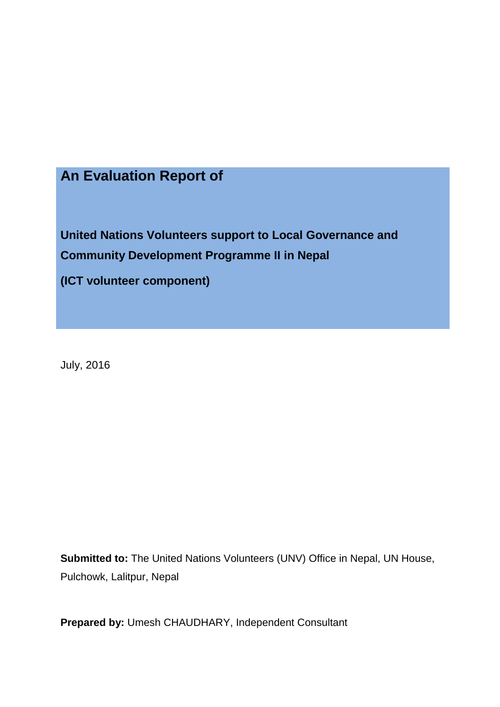# **An Evaluation Report of**

**United Nations Volunteers support to Local Governance and Community Development Programme II in Nepal** 

**(ICT volunteer component)**

July, 2016

**Submitted to:** The United Nations Volunteers (UNV) Office in Nepal, UN House, Pulchowk, Lalitpur, Nepal

**Prepared by:** Umesh CHAUDHARY, Independent Consultant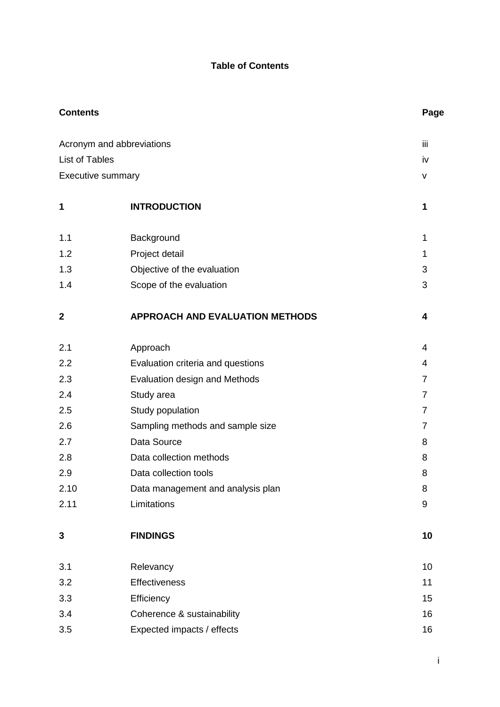## **Table of Contents**

| <b>Contents</b>           |                                        | Page           |
|---------------------------|----------------------------------------|----------------|
| Acronym and abbreviations |                                        | iij            |
| <b>List of Tables</b>     |                                        | iv             |
| <b>Executive summary</b>  |                                        | V              |
| 1                         | <b>INTRODUCTION</b>                    | 1              |
| 1.1                       | Background                             | 1              |
| 1.2                       | Project detail                         | 1              |
| 1.3                       | Objective of the evaluation            | 3              |
| 1.4                       | Scope of the evaluation                | 3              |
| $\mathbf{2}$              | <b>APPROACH AND EVALUATION METHODS</b> | 4              |
| 2.1                       | Approach                               | 4              |
| 2.2                       | Evaluation criteria and questions      | 4              |
| 2.3                       | Evaluation design and Methods          | $\overline{7}$ |
| 2.4                       | Study area                             | $\overline{7}$ |
| 2.5                       | Study population                       | 7              |
| 2.6                       | Sampling methods and sample size       | $\overline{7}$ |
| 2.7                       | Data Source                            | 8              |
| 2.8                       | Data collection methods                | 8              |
| 2.9                       | Data collection tools                  | 8              |
| 2.10                      | Data management and analysis plan      | 8              |
| 2.11                      | Limitations                            | 9              |
| $\mathbf{3}$              | <b>FINDINGS</b>                        | 10             |
| 3.1                       | Relevancy                              | 10             |
| 3.2                       | <b>Effectiveness</b>                   | 11             |
| 3.3                       | Efficiency                             | 15             |
| 3.4                       | Coherence & sustainability             | 16             |
| 3.5                       | Expected impacts / effects             | 16             |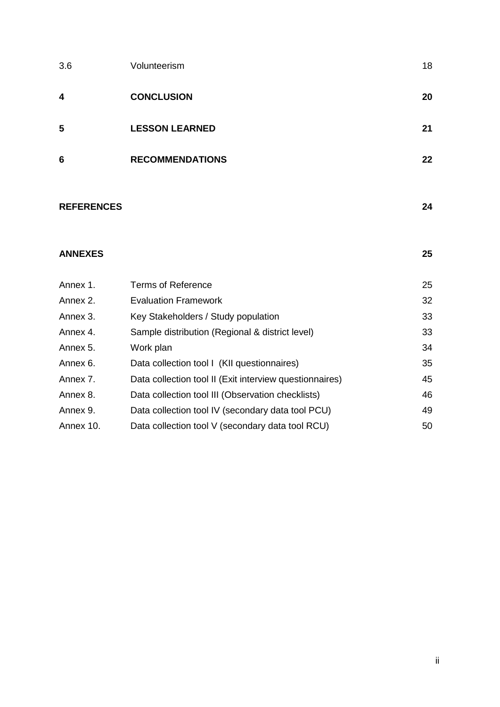| 3.6                     | Volunteerism           | 18 |
|-------------------------|------------------------|----|
| $\overline{\mathbf{4}}$ | <b>CONCLUSION</b>      | 20 |
| 5                       | <b>LESSON LEARNED</b>  | 21 |
| 6                       | <b>RECOMMENDATIONS</b> | 22 |
|                         |                        |    |

## **REFERENCES 24**

## **ANNEXES 25**

| ×       |  |
|---------|--|
| ۰.<br>v |  |

| Annex 1.  | <b>Terms of Reference</b>                               | 25 |
|-----------|---------------------------------------------------------|----|
| Annex 2.  | <b>Evaluation Framework</b>                             | 32 |
| Annex 3.  | Key Stakeholders / Study population                     | 33 |
| Annex 4.  | Sample distribution (Regional & district level)         | 33 |
| Annex 5.  | Work plan                                               | 34 |
| Annex 6.  | Data collection tool I (KII questionnaires)             | 35 |
| Annex 7.  | Data collection tool II (Exit interview questionnaires) | 45 |
| Annex 8.  | Data collection tool III (Observation checklists)       | 46 |
| Annex 9.  | Data collection tool IV (secondary data tool PCU)       | 49 |
| Annex 10. | Data collection tool V (secondary data tool RCU)        | 50 |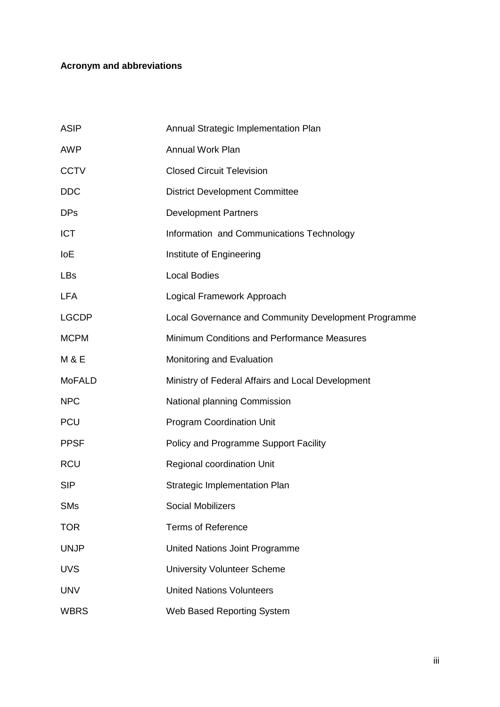## **Acronym and abbreviations**

| <b>ASIP</b>   | Annual Strategic Implementation Plan                 |
|---------------|------------------------------------------------------|
| <b>AWP</b>    | <b>Annual Work Plan</b>                              |
| <b>CCTV</b>   | <b>Closed Circuit Television</b>                     |
| <b>DDC</b>    | <b>District Development Committee</b>                |
| <b>DPs</b>    | <b>Development Partners</b>                          |
| <b>ICT</b>    | Information and Communications Technology            |
| <b>IoE</b>    | Institute of Engineering                             |
| <b>LBs</b>    | <b>Local Bodies</b>                                  |
| <b>LFA</b>    | Logical Framework Approach                           |
| <b>LGCDP</b>  | Local Governance and Community Development Programme |
| <b>MCPM</b>   | Minimum Conditions and Performance Measures          |
| M & E         | Monitoring and Evaluation                            |
| <b>MoFALD</b> | Ministry of Federal Affairs and Local Development    |
| <b>NPC</b>    | National planning Commission                         |
| <b>PCU</b>    | <b>Program Coordination Unit</b>                     |
| <b>PPSF</b>   | Policy and Programme Support Facility                |
| <b>RCU</b>    | Regional coordination Unit                           |
| <b>SIP</b>    | <b>Strategic Implementation Plan</b>                 |
| <b>SMs</b>    | <b>Social Mobilizers</b>                             |
| <b>TOR</b>    | <b>Terms of Reference</b>                            |
| <b>UNJP</b>   | United Nations Joint Programme                       |
| <b>UVS</b>    | <b>University Volunteer Scheme</b>                   |
| <b>UNV</b>    | <b>United Nations Volunteers</b>                     |
| <b>WBRS</b>   | Web Based Reporting System                           |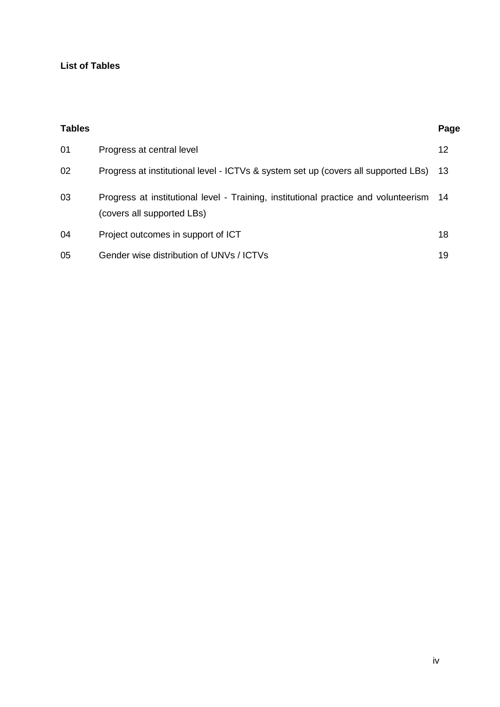## **List of Tables**

| <b>Tables</b> |                                                                                                                   | Page |
|---------------|-------------------------------------------------------------------------------------------------------------------|------|
| 01            | Progress at central level                                                                                         | 12   |
| 02            | Progress at institutional level - ICTVs & system set up (covers all supported LBs)                                | 13   |
| 03            | Progress at institutional level - Training, institutional practice and volunteerism<br>(covers all supported LBs) | - 14 |
| 04            | Project outcomes in support of ICT                                                                                | 18   |
| 05            | Gender wise distribution of UNVs / ICTVs                                                                          | 19   |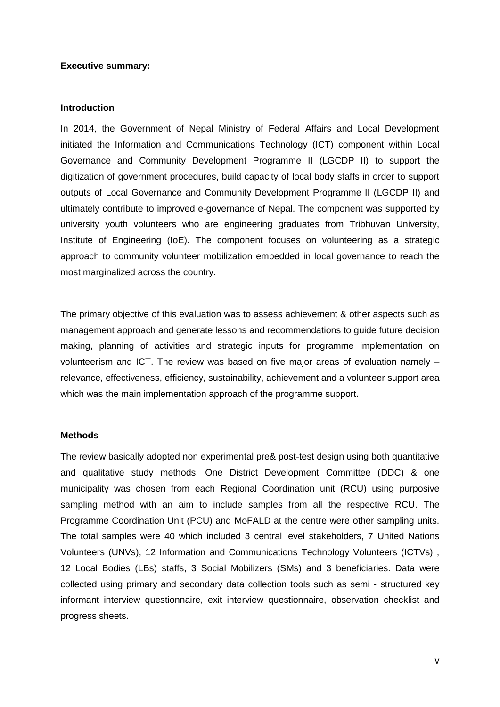#### **Executive summary:**

#### **Introduction**

In 2014, the Government of Nepal Ministry of Federal Affairs and Local Development initiated the Information and Communications Technology (ICT) component within Local Governance and Community Development Programme II (LGCDP II) to support the digitization of government procedures, build capacity of local body staffs in order to support outputs of Local Governance and Community Development Programme II (LGCDP II) and ultimately contribute to improved e-governance of Nepal. The component was supported by university youth volunteers who are engineering graduates from Tribhuvan University, Institute of Engineering (IoE). The component focuses on volunteering as a strategic approach to community volunteer mobilization embedded in local governance to reach the most marginalized across the country.

The primary objective of this evaluation was to assess achievement & other aspects such as management approach and generate lessons and recommendations to guide future decision making, planning of activities and strategic inputs for programme implementation on volunteerism and ICT. The review was based on five major areas of evaluation namely – relevance, effectiveness, efficiency, sustainability, achievement and a volunteer support area which was the main implementation approach of the programme support.

#### **Methods**

The review basically adopted non experimental pre& post-test design using both quantitative and qualitative study methods. One District Development Committee (DDC) & one municipality was chosen from each Regional Coordination unit (RCU) using purposive sampling method with an aim to include samples from all the respective RCU. The Programme Coordination Unit (PCU) and MoFALD at the centre were other sampling units. The total samples were 40 which included 3 central level stakeholders, 7 United Nations Volunteers (UNVs), 12 Information and Communications Technology Volunteers (ICTVs) , 12 Local Bodies (LBs) staffs, 3 Social Mobilizers (SMs) and 3 beneficiaries. Data were collected using primary and secondary data collection tools such as semi - structured key informant interview questionnaire, exit interview questionnaire, observation checklist and progress sheets.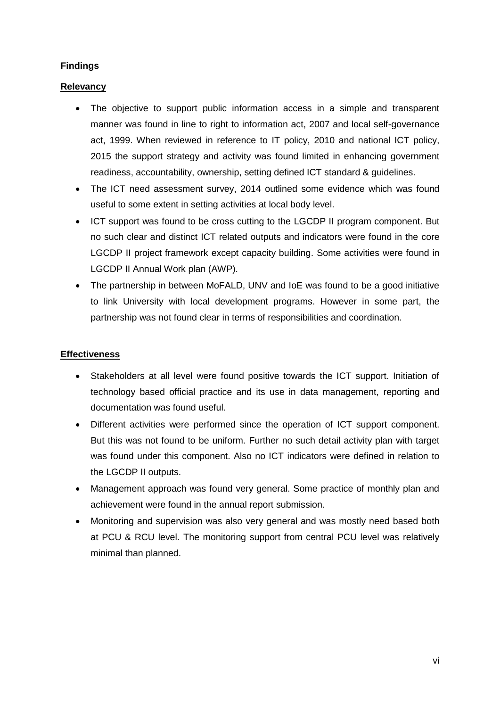## **Findings**

## **Relevancy**

- The objective to support public information access in a simple and transparent manner was found in line to right to information act, 2007 and local self-governance act, 1999. When reviewed in reference to IT policy, 2010 and national ICT policy, 2015 the support strategy and activity was found limited in enhancing government readiness, accountability, ownership, setting defined ICT standard & guidelines.
- The ICT need assessment survey, 2014 outlined some evidence which was found useful to some extent in setting activities at local body level.
- ICT support was found to be cross cutting to the LGCDP II program component. But no such clear and distinct ICT related outputs and indicators were found in the core LGCDP II project framework except capacity building. Some activities were found in LGCDP II Annual Work plan (AWP).
- The partnership in between MoFALD, UNV and IoE was found to be a good initiative to link University with local development programs. However in some part, the partnership was not found clear in terms of responsibilities and coordination.

## **Effectiveness**

- Stakeholders at all level were found positive towards the ICT support. Initiation of technology based official practice and its use in data management, reporting and documentation was found useful.
- Different activities were performed since the operation of ICT support component. But this was not found to be uniform. Further no such detail activity plan with target was found under this component. Also no ICT indicators were defined in relation to the LGCDP II outputs.
- Management approach was found very general. Some practice of monthly plan and achievement were found in the annual report submission.
- Monitoring and supervision was also very general and was mostly need based both at PCU & RCU level. The monitoring support from central PCU level was relatively minimal than planned.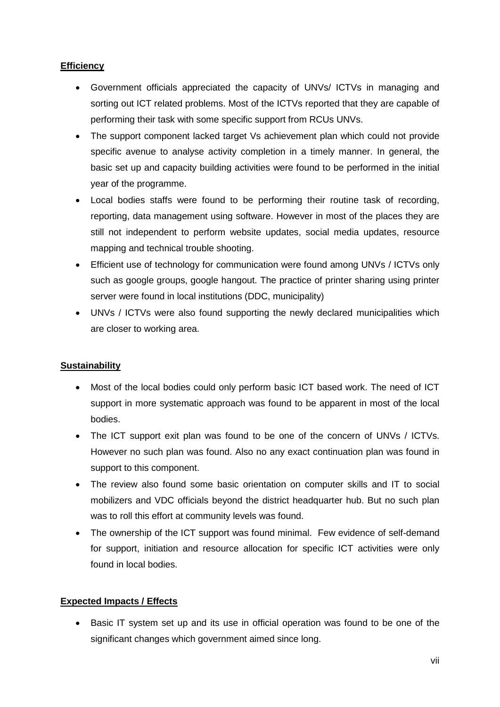## **Efficiency**

- Government officials appreciated the capacity of UNVs/ ICTVs in managing and sorting out ICT related problems. Most of the ICTVs reported that they are capable of performing their task with some specific support from RCUs UNVs.
- The support component lacked target Vs achievement plan which could not provide specific avenue to analyse activity completion in a timely manner. In general, the basic set up and capacity building activities were found to be performed in the initial year of the programme.
- Local bodies staffs were found to be performing their routine task of recording, reporting, data management using software. However in most of the places they are still not independent to perform website updates, social media updates, resource mapping and technical trouble shooting.
- Efficient use of technology for communication were found among UNVs / ICTVs only such as google groups, google hangout. The practice of printer sharing using printer server were found in local institutions (DDC, municipality)
- UNVs / ICTVs were also found supporting the newly declared municipalities which are closer to working area.

## **Sustainability**

- Most of the local bodies could only perform basic ICT based work. The need of ICT support in more systematic approach was found to be apparent in most of the local bodies.
- The ICT support exit plan was found to be one of the concern of UNVs / ICTVs. However no such plan was found. Also no any exact continuation plan was found in support to this component.
- The review also found some basic orientation on computer skills and IT to social mobilizers and VDC officials beyond the district headquarter hub. But no such plan was to roll this effort at community levels was found.
- The ownership of the ICT support was found minimal. Few evidence of self-demand for support, initiation and resource allocation for specific ICT activities were only found in local bodies.

## **Expected Impacts / Effects**

 Basic IT system set up and its use in official operation was found to be one of the significant changes which government aimed since long.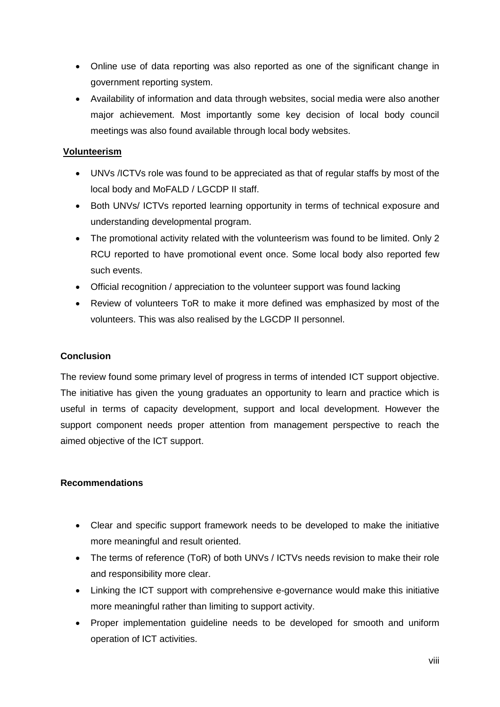- Online use of data reporting was also reported as one of the significant change in government reporting system.
- Availability of information and data through websites, social media were also another major achievement. Most importantly some key decision of local body council meetings was also found available through local body websites.

## **Volunteerism**

- UNVs /ICTVs role was found to be appreciated as that of regular staffs by most of the local body and MoFALD / LGCDP II staff.
- Both UNVs/ ICTVs reported learning opportunity in terms of technical exposure and understanding developmental program.
- The promotional activity related with the volunteerism was found to be limited. Only 2 RCU reported to have promotional event once. Some local body also reported few such events.
- Official recognition / appreciation to the volunteer support was found lacking
- Review of volunteers ToR to make it more defined was emphasized by most of the volunteers. This was also realised by the LGCDP II personnel.

## **Conclusion**

The review found some primary level of progress in terms of intended ICT support objective. The initiative has given the young graduates an opportunity to learn and practice which is useful in terms of capacity development, support and local development. However the support component needs proper attention from management perspective to reach the aimed objective of the ICT support.

#### **Recommendations**

- Clear and specific support framework needs to be developed to make the initiative more meaningful and result oriented.
- The terms of reference (ToR) of both UNVs / ICTVs needs revision to make their role and responsibility more clear.
- Linking the ICT support with comprehensive e-governance would make this initiative more meaningful rather than limiting to support activity.
- Proper implementation guideline needs to be developed for smooth and uniform operation of ICT activities.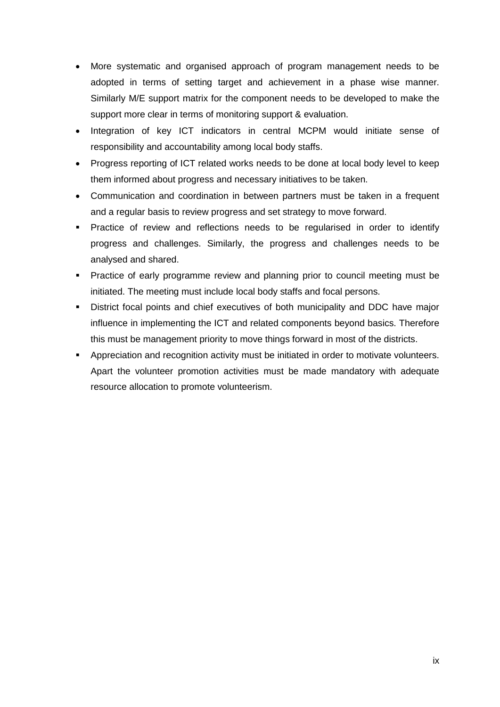- More systematic and organised approach of program management needs to be adopted in terms of setting target and achievement in a phase wise manner. Similarly M/E support matrix for the component needs to be developed to make the support more clear in terms of monitoring support & evaluation.
- Integration of key ICT indicators in central MCPM would initiate sense of responsibility and accountability among local body staffs.
- Progress reporting of ICT related works needs to be done at local body level to keep them informed about progress and necessary initiatives to be taken.
- Communication and coordination in between partners must be taken in a frequent and a regular basis to review progress and set strategy to move forward.
- **Practice of review and reflections needs to be regularised in order to identify** progress and challenges. Similarly, the progress and challenges needs to be analysed and shared.
- Practice of early programme review and planning prior to council meeting must be initiated. The meeting must include local body staffs and focal persons.
- **District focal points and chief executives of both municipality and DDC have major** influence in implementing the ICT and related components beyond basics. Therefore this must be management priority to move things forward in most of the districts.
- **Appreciation and recognition activity must be initiated in order to motivate volunteers.** Apart the volunteer promotion activities must be made mandatory with adequate resource allocation to promote volunteerism.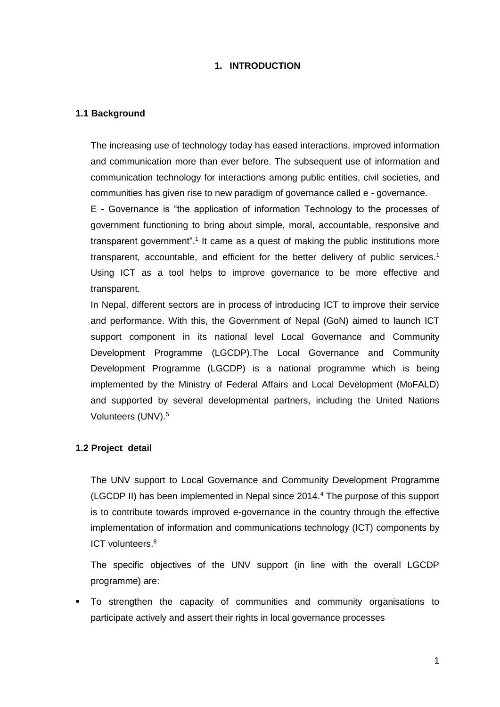#### **1. INTRODUCTION**

#### **1.1 Background**

The increasing use of technology today has eased interactions, improved information and communication more than ever before. The subsequent use of information and communication technology for interactions among public entities, civil societies, and communities has given rise to new paradigm of governance called e - governance.

E - Governance is "the application of information Technology to the processes of government functioning to bring about simple, moral, accountable, responsive and transparent government".<sup>1</sup> It came as a quest of making the public institutions more transparent, accountable, and efficient for the better delivery of public services.<sup>1</sup> Using ICT as a tool helps to improve governance to be more effective and transparent.

In Nepal, different sectors are in process of introducing ICT to improve their service and performance. With this, the Government of Nepal (GoN) aimed to launch ICT support component in its national level Local Governance and Community Development Programme (LGCDP).The Local Governance and Community Development Programme (LGCDP) is a national programme which is being implemented by the Ministry of Federal Affairs and Local Development (MoFALD) and supported by several developmental partners, including the United Nations Volunteers (UNV).<sup>5</sup>

#### **1.2 Project detail**

The UNV support to Local Governance and Community Development Programme (LGCDP II) has been implemented in Nepal since 2014.<sup>4</sup> The purpose of this support is to contribute towards improved e-governance in the country through the effective implementation of information and communications technology (ICT) components by ICT volunteers.<sup>8</sup>

The specific objectives of the UNV support (in line with the overall LGCDP programme) are:

 To strengthen the capacity of communities and community organisations to participate actively and assert their rights in local governance processes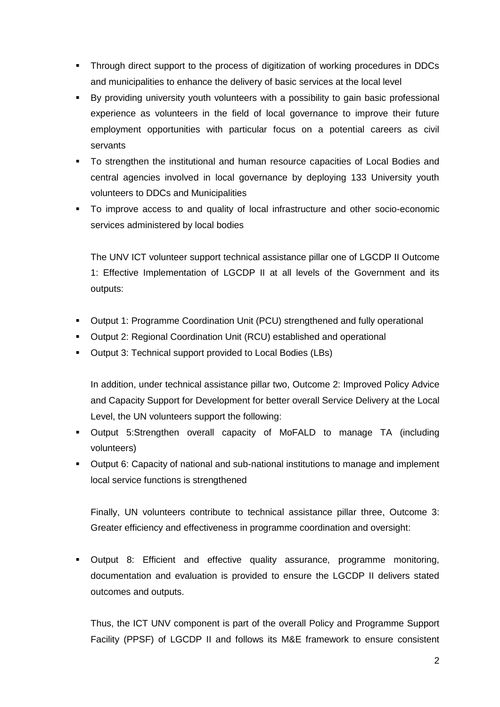- Through direct support to the process of digitization of working procedures in DDCs and municipalities to enhance the delivery of basic services at the local level
- By providing university youth volunteers with a possibility to gain basic professional experience as volunteers in the field of local governance to improve their future employment opportunities with particular focus on a potential careers as civil servants
- To strengthen the institutional and human resource capacities of Local Bodies and central agencies involved in local governance by deploying 133 University youth volunteers to DDCs and Municipalities
- To improve access to and quality of local infrastructure and other socio-economic services administered by local bodies

The UNV ICT volunteer support technical assistance pillar one of LGCDP II Outcome 1: Effective Implementation of LGCDP II at all levels of the Government and its outputs:

- Output 1: Programme Coordination Unit (PCU) strengthened and fully operational
- Output 2: Regional Coordination Unit (RCU) established and operational
- Output 3: Technical support provided to Local Bodies (LBs)

In addition, under technical assistance pillar two, Outcome 2: Improved Policy Advice and Capacity Support for Development for better overall Service Delivery at the Local Level, the UN volunteers support the following:

- Output 5:Strengthen overall capacity of MoFALD to manage TA (including volunteers)
- Output 6: Capacity of national and sub-national institutions to manage and implement local service functions is strengthened

Finally, UN volunteers contribute to technical assistance pillar three, Outcome 3: Greater efficiency and effectiveness in programme coordination and oversight:

 Output 8: Efficient and effective quality assurance, programme monitoring, documentation and evaluation is provided to ensure the LGCDP II delivers stated outcomes and outputs.

Thus, the ICT UNV component is part of the overall Policy and Programme Support Facility (PPSF) of LGCDP II and follows its M&E framework to ensure consistent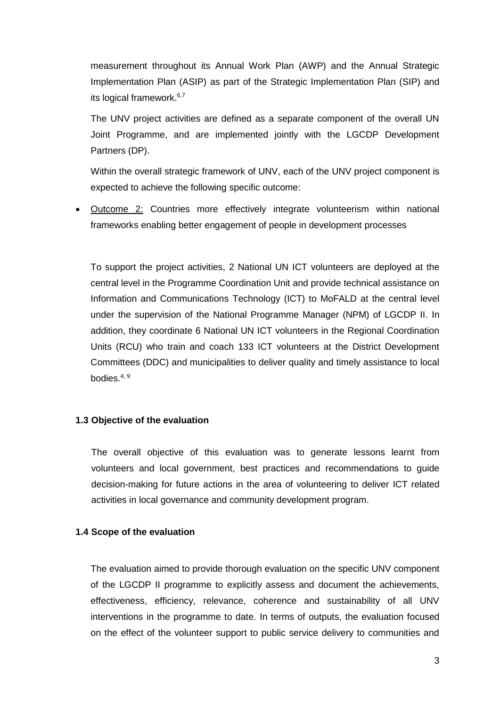measurement throughout its Annual Work Plan (AWP) and the Annual Strategic Implementation Plan (ASIP) as part of the Strategic Implementation Plan (SIP) and its logical framework.<sup>6,7</sup>

The UNV project activities are defined as a separate component of the overall UN Joint Programme, and are implemented jointly with the LGCDP Development Partners (DP).

Within the overall strategic framework of UNV, each of the UNV project component is expected to achieve the following specific outcome:

 Outcome 2: Countries more effectively integrate volunteerism within national frameworks enabling better engagement of people in development processes

To support the project activities, 2 National UN ICT volunteers are deployed at the central level in the Programme Coordination Unit and provide technical assistance on Information and Communications Technology (ICT) to MoFALD at the central level under the supervision of the National Programme Manager (NPM) of LGCDP II. In addition, they coordinate 6 National UN ICT volunteers in the Regional Coordination Units (RCU) who train and coach 133 ICT volunteers at the District Development Committees (DDC) and municipalities to deliver quality and timely assistance to local bodies. $4, 9$ 

#### **1.3 Objective of the evaluation**

The overall objective of this evaluation was to generate lessons learnt from volunteers and local government, best practices and recommendations to guide decision-making for future actions in the area of volunteering to deliver ICT related activities in local governance and community development program.

#### **1.4 Scope of the evaluation**

The evaluation aimed to provide thorough evaluation on the specific UNV component of the LGCDP II programme to explicitly assess and document the achievements, effectiveness, efficiency, relevance, coherence and sustainability of all UNV interventions in the programme to date. In terms of outputs, the evaluation focused on the effect of the volunteer support to public service delivery to communities and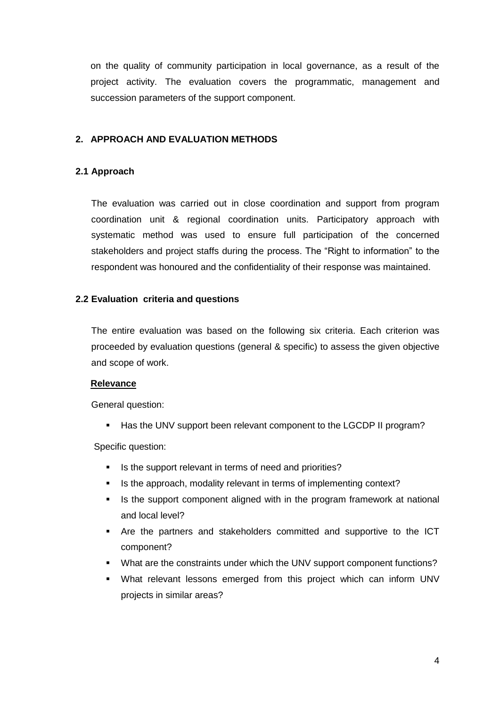on the quality of community participation in local governance, as a result of the project activity. The evaluation covers the programmatic, management and succession parameters of the support component.

#### **2. APPROACH AND EVALUATION METHODS**

### **2.1 Approach**

The evaluation was carried out in close coordination and support from program coordination unit & regional coordination units. Participatory approach with systematic method was used to ensure full participation of the concerned stakeholders and project staffs during the process. The "Right to information" to the respondent was honoured and the confidentiality of their response was maintained.

#### **2.2 Evaluation criteria and questions**

The entire evaluation was based on the following six criteria. Each criterion was proceeded by evaluation questions (general & specific) to assess the given objective and scope of work.

#### **Relevance**

General question:

Has the UNV support been relevant component to the LGCDP II program?

Specific question:

- Is the support relevant in terms of need and priorities?
- Is the approach, modality relevant in terms of implementing context?
- **If** Is the support component aligned with in the program framework at national and local level?
- Are the partners and stakeholders committed and supportive to the ICT component?
- What are the constraints under which the UNV support component functions?
- What relevant lessons emerged from this project which can inform UNV projects in similar areas?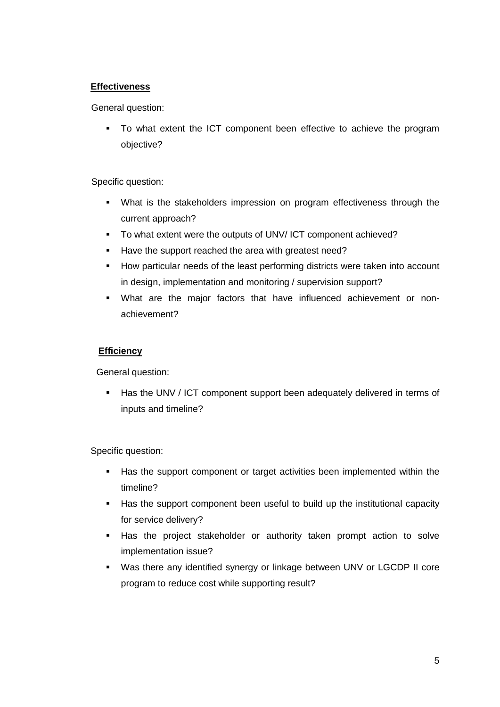## **Effectiveness**

General question:

 To what extent the ICT component been effective to achieve the program objective?

## Specific question:

- What is the stakeholders impression on program effectiveness through the current approach?
- To what extent were the outputs of UNV/ ICT component achieved?
- Have the support reached the area with greatest need?
- How particular needs of the least performing districts were taken into account in design, implementation and monitoring / supervision support?
- What are the major factors that have influenced achievement or nonachievement?

## **Efficiency**

General question:

Has the UNV / ICT component support been adequately delivered in terms of inputs and timeline?

Specific question:

- Has the support component or target activities been implemented within the timeline?
- Has the support component been useful to build up the institutional capacity for service delivery?
- Has the project stakeholder or authority taken prompt action to solve implementation issue?
- Was there any identified synergy or linkage between UNV or LGCDP II core program to reduce cost while supporting result?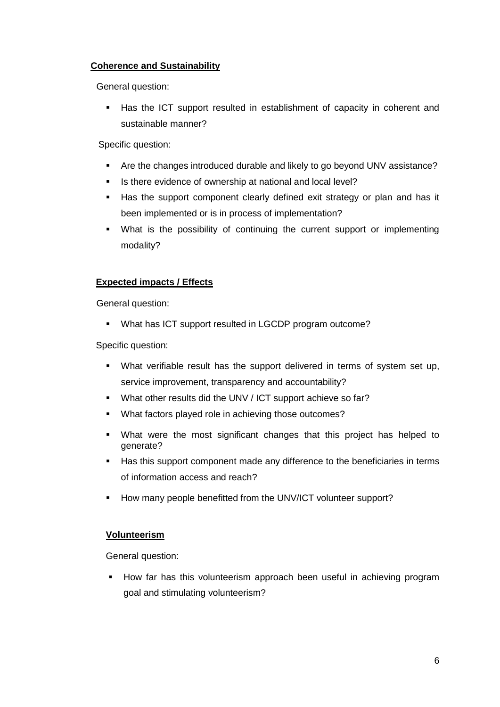## **Coherence and Sustainability**

General question:

 Has the ICT support resulted in establishment of capacity in coherent and sustainable manner?

Specific question:

- Are the changes introduced durable and likely to go beyond UNV assistance?
- Is there evidence of ownership at national and local level?
- Has the support component clearly defined exit strategy or plan and has it been implemented or is in process of implementation?
- What is the possibility of continuing the current support or implementing modality?

## **Expected impacts / Effects**

General question:

**What has ICT support resulted in LGCDP program outcome?** 

Specific question:

- What verifiable result has the support delivered in terms of system set up, service improvement, transparency and accountability?
- What other results did the UNV / ICT support achieve so far?
- What factors played role in achieving those outcomes?
- What were the most significant changes that this project has helped to generate?
- Has this support component made any difference to the beneficiaries in terms of information access and reach?
- How many people benefitted from the UNV/ICT volunteer support?

## **Volunteerism**

General question:

 How far has this volunteerism approach been useful in achieving program goal and stimulating volunteerism?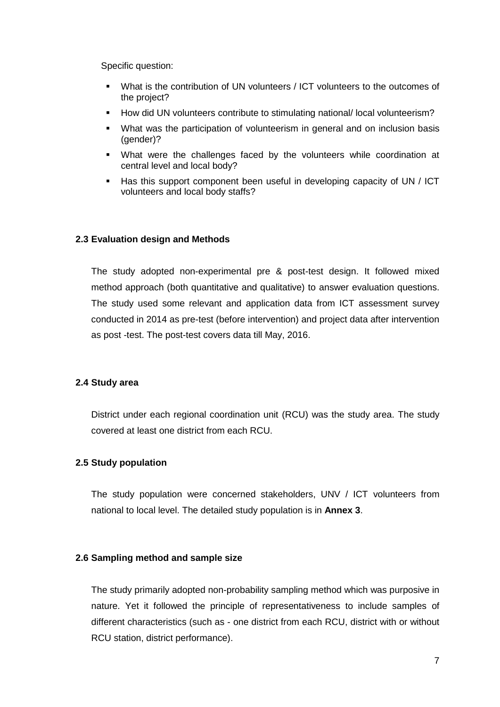Specific question:

- What is the contribution of UN volunteers / ICT volunteers to the outcomes of the project?
- How did UN volunteers contribute to stimulating national/ local volunteerism?
- What was the participation of volunteerism in general and on inclusion basis (gender)?
- What were the challenges faced by the volunteers while coordination at central level and local body?
- Has this support component been useful in developing capacity of UN / ICT volunteers and local body staffs?

#### **2.3 Evaluation design and Methods**

The study adopted non-experimental pre & post-test design. It followed mixed method approach (both quantitative and qualitative) to answer evaluation questions. The study used some relevant and application data from ICT assessment survey conducted in 2014 as pre-test (before intervention) and project data after intervention as post -test. The post-test covers data till May, 2016.

#### **2.4 Study area**

District under each regional coordination unit (RCU) was the study area. The study covered at least one district from each RCU.

#### **2.5 Study population**

The study population were concerned stakeholders, UNV / ICT volunteers from national to local level. The detailed study population is in **Annex 3**.

#### **2.6 Sampling method and sample size**

The study primarily adopted non-probability sampling method which was purposive in nature. Yet it followed the principle of representativeness to include samples of different characteristics (such as - one district from each RCU, district with or without RCU station, district performance).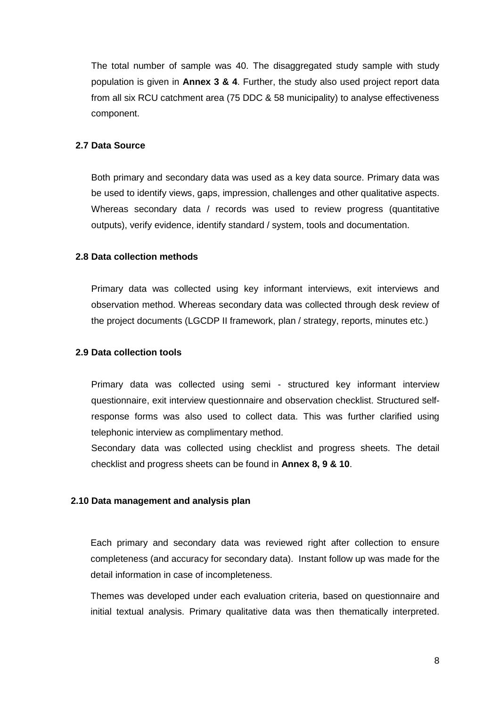The total number of sample was 40. The disaggregated study sample with study population is given in **Annex 3 & 4**. Further, the study also used project report data from all six RCU catchment area (75 DDC & 58 municipality) to analyse effectiveness component.

## **2.7 Data Source**

Both primary and secondary data was used as a key data source. Primary data was be used to identify views, gaps, impression, challenges and other qualitative aspects. Whereas secondary data / records was used to review progress (quantitative outputs), verify evidence, identify standard / system, tools and documentation.

#### **2.8 Data collection methods**

Primary data was collected using key informant interviews, exit interviews and observation method. Whereas secondary data was collected through desk review of the project documents (LGCDP II framework, plan / strategy, reports, minutes etc.)

#### **2.9 Data collection tools**

Primary data was collected using semi - structured key informant interview questionnaire, exit interview questionnaire and observation checklist. Structured selfresponse forms was also used to collect data. This was further clarified using telephonic interview as complimentary method.

Secondary data was collected using checklist and progress sheets. The detail checklist and progress sheets can be found in **Annex 8, 9 & 10**.

#### **2.10 Data management and analysis plan**

Each primary and secondary data was reviewed right after collection to ensure completeness (and accuracy for secondary data). Instant follow up was made for the detail information in case of incompleteness.

Themes was developed under each evaluation criteria, based on questionnaire and initial textual analysis. Primary qualitative data was then thematically interpreted.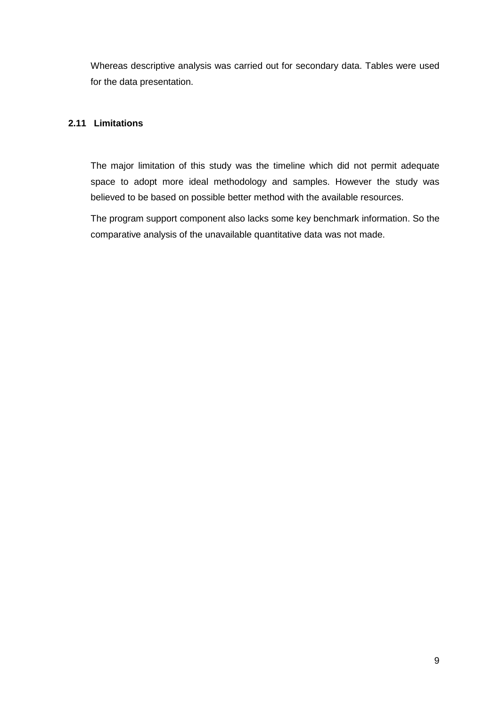Whereas descriptive analysis was carried out for secondary data. Tables were used for the data presentation.

### **2.11 Limitations**

The major limitation of this study was the timeline which did not permit adequate space to adopt more ideal methodology and samples. However the study was believed to be based on possible better method with the available resources.

The program support component also lacks some key benchmark information. So the comparative analysis of the unavailable quantitative data was not made.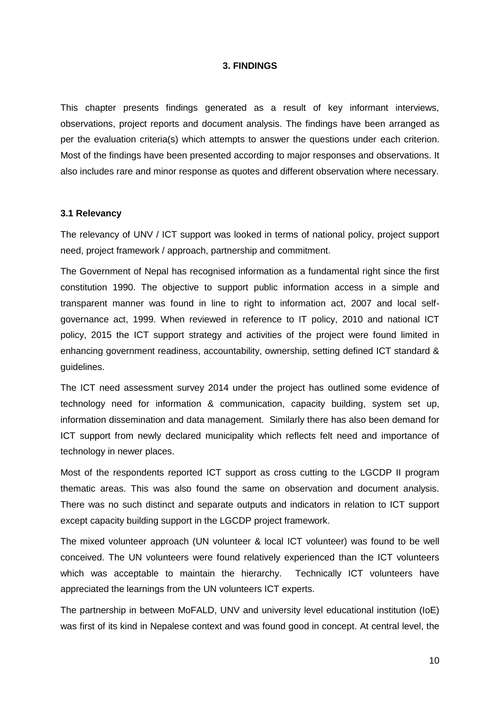#### **3. FINDINGS**

This chapter presents findings generated as a result of key informant interviews, observations, project reports and document analysis. The findings have been arranged as per the evaluation criteria(s) which attempts to answer the questions under each criterion. Most of the findings have been presented according to major responses and observations. It also includes rare and minor response as quotes and different observation where necessary.

#### **3.1 Relevancy**

The relevancy of UNV / ICT support was looked in terms of national policy, project support need, project framework / approach, partnership and commitment.

The Government of Nepal has recognised information as a fundamental right since the first constitution 1990. The objective to support public information access in a simple and transparent manner was found in line to right to information act, 2007 and local selfgovernance act, 1999. When reviewed in reference to IT policy, 2010 and national ICT policy, 2015 the ICT support strategy and activities of the project were found limited in enhancing government readiness, accountability, ownership, setting defined ICT standard & guidelines.

The ICT need assessment survey 2014 under the project has outlined some evidence of technology need for information & communication, capacity building, system set up, information dissemination and data management. Similarly there has also been demand for ICT support from newly declared municipality which reflects felt need and importance of technology in newer places.

Most of the respondents reported ICT support as cross cutting to the LGCDP II program thematic areas. This was also found the same on observation and document analysis. There was no such distinct and separate outputs and indicators in relation to ICT support except capacity building support in the LGCDP project framework.

The mixed volunteer approach (UN volunteer & local ICT volunteer) was found to be well conceived. The UN volunteers were found relatively experienced than the ICT volunteers which was acceptable to maintain the hierarchy. Technically ICT volunteers have appreciated the learnings from the UN volunteers ICT experts.

The partnership in between MoFALD, UNV and university level educational institution (IoE) was first of its kind in Nepalese context and was found good in concept. At central level, the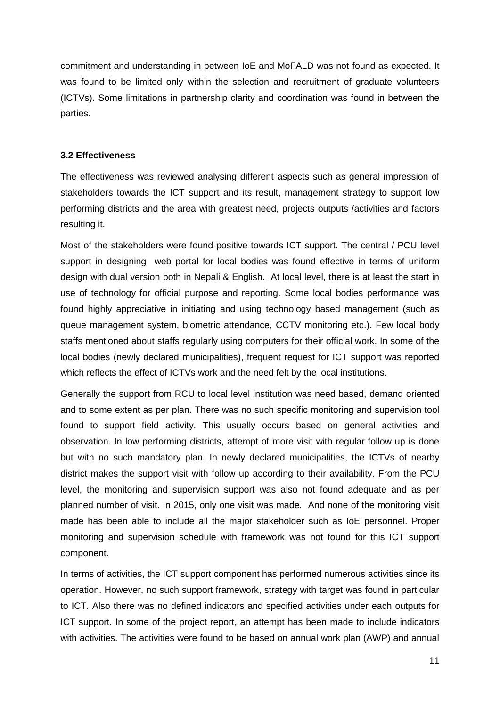commitment and understanding in between IoE and MoFALD was not found as expected. It was found to be limited only within the selection and recruitment of graduate volunteers (ICTVs). Some limitations in partnership clarity and coordination was found in between the parties.

#### **3.2 Effectiveness**

The effectiveness was reviewed analysing different aspects such as general impression of stakeholders towards the ICT support and its result, management strategy to support low performing districts and the area with greatest need, projects outputs /activities and factors resulting it.

Most of the stakeholders were found positive towards ICT support. The central / PCU level support in designing web portal for local bodies was found effective in terms of uniform design with dual version both in Nepali & English. At local level, there is at least the start in use of technology for official purpose and reporting. Some local bodies performance was found highly appreciative in initiating and using technology based management (such as queue management system, biometric attendance, CCTV monitoring etc.). Few local body staffs mentioned about staffs regularly using computers for their official work. In some of the local bodies (newly declared municipalities), frequent request for ICT support was reported which reflects the effect of ICTVs work and the need felt by the local institutions.

Generally the support from RCU to local level institution was need based, demand oriented and to some extent as per plan. There was no such specific monitoring and supervision tool found to support field activity. This usually occurs based on general activities and observation. In low performing districts, attempt of more visit with regular follow up is done but with no such mandatory plan. In newly declared municipalities, the ICTVs of nearby district makes the support visit with follow up according to their availability. From the PCU level, the monitoring and supervision support was also not found adequate and as per planned number of visit. In 2015, only one visit was made. And none of the monitoring visit made has been able to include all the major stakeholder such as IoE personnel. Proper monitoring and supervision schedule with framework was not found for this ICT support component.

In terms of activities, the ICT support component has performed numerous activities since its operation. However, no such support framework, strategy with target was found in particular to ICT. Also there was no defined indicators and specified activities under each outputs for ICT support. In some of the project report, an attempt has been made to include indicators with activities. The activities were found to be based on annual work plan (AWP) and annual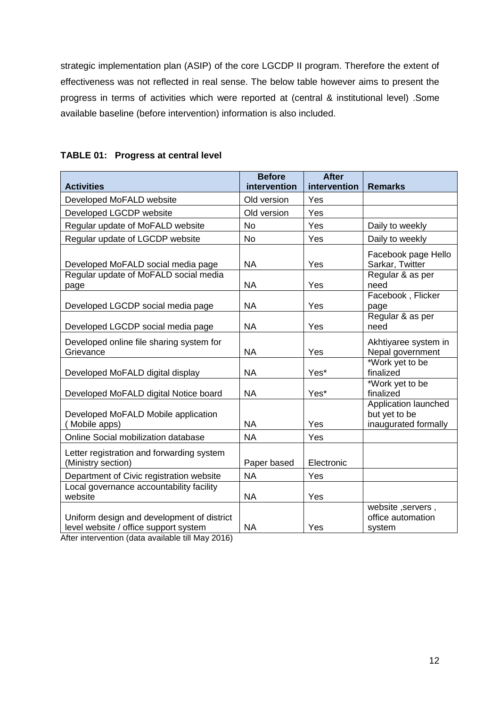strategic implementation plan (ASIP) of the core LGCDP II program. Therefore the extent of effectiveness was not reflected in real sense. The below table however aims to present the progress in terms of activities which were reported at (central & institutional level) .Some available baseline (before intervention) information is also included.

|                                                                                     | <b>Before</b> | <b>After</b> |                                                               |
|-------------------------------------------------------------------------------------|---------------|--------------|---------------------------------------------------------------|
| <b>Activities</b>                                                                   | intervention  | intervention | <b>Remarks</b>                                                |
| Developed MoFALD website                                                            | Old version   | Yes          |                                                               |
| Developed LGCDP website                                                             | Old version   | Yes          |                                                               |
| Regular update of MoFALD website                                                    | <b>No</b>     | Yes          | Daily to weekly                                               |
| Regular update of LGCDP website                                                     | <b>No</b>     | Yes          | Daily to weekly                                               |
| Developed MoFALD social media page                                                  | <b>NA</b>     | Yes          | Facebook page Hello<br>Sarkar, Twitter                        |
| Regular update of MoFALD social media<br>page                                       | <b>NA</b>     | Yes          | Regular & as per<br>need                                      |
| Developed LGCDP social media page                                                   | <b>NA</b>     | Yes          | Facebook, Flicker<br>page                                     |
| Developed LGCDP social media page                                                   | <b>NA</b>     | Yes          | Regular & as per<br>need                                      |
| Developed online file sharing system for<br>Grievance                               | <b>NA</b>     | Yes          | Akhtiyaree system in<br>Nepal government                      |
| Developed MoFALD digital display                                                    | <b>NA</b>     | Yes*         | *Work yet to be<br>finalized                                  |
| Developed MoFALD digital Notice board                                               | <b>NA</b>     | Yes*         | *Work yet to be<br>finalized                                  |
| Developed MoFALD Mobile application<br>Mobile apps)                                 | <b>NA</b>     | Yes          | Application launched<br>but yet to be<br>inaugurated formally |
| Online Social mobilization database                                                 | <b>NA</b>     | Yes          |                                                               |
| Letter registration and forwarding system<br>(Ministry section)                     | Paper based   | Electronic   |                                                               |
| Department of Civic registration website                                            | <b>NA</b>     | Yes          |                                                               |
| Local governance accountability facility<br>website                                 | <b>NA</b>     | Yes          |                                                               |
| Uniform design and development of district<br>level website / office support system | <b>NA</b>     | Yes          | website, servers,<br>office automation<br>system              |

| <b>TABLE 01: Progress at central level</b> |  |  |  |  |
|--------------------------------------------|--|--|--|--|
|--------------------------------------------|--|--|--|--|

After intervention (data available till May 2016)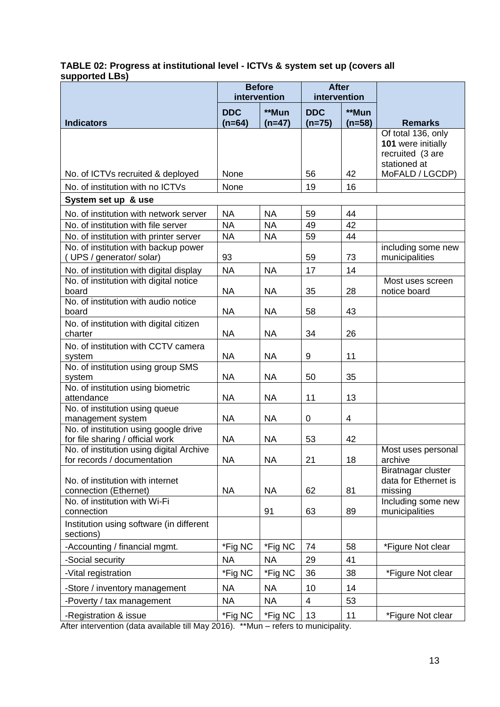#### **TABLE 02: Progress at institutional level - ICTVs & system set up (covers all supported LBs)**

|                                                                                | <b>Before</b><br>intervention |           | <b>After</b><br>intervention |          |                                                                              |
|--------------------------------------------------------------------------------|-------------------------------|-----------|------------------------------|----------|------------------------------------------------------------------------------|
|                                                                                | **Mun<br><b>DDC</b>           |           | <b>DDC</b>                   | **Mun    |                                                                              |
| <b>Indicators</b>                                                              | $(n=64)$                      | $(n=47)$  | $(n=75)$                     | $(n=58)$ | <b>Remarks</b>                                                               |
|                                                                                |                               |           |                              |          | Of total 136, only<br>101 were initially<br>recruited (3 are<br>stationed at |
| No. of ICTVs recruited & deployed                                              | None                          |           | 56                           | 42       | MoFALD / LGCDP)                                                              |
| No. of institution with no ICTVs                                               | None                          |           | 19                           | 16       |                                                                              |
| System set up & use                                                            |                               |           |                              |          |                                                                              |
| No. of institution with network server                                         | <b>NA</b>                     | <b>NA</b> | 59                           | 44       |                                                                              |
| No. of institution with file server                                            | <b>NA</b>                     | <b>NA</b> | 49                           | 42       |                                                                              |
| No. of institution with printer server<br>No. of institution with backup power | <b>NA</b>                     | <b>NA</b> | 59                           | 44       |                                                                              |
| (UPS / generator/ solar)                                                       | 93                            |           | 59                           | 73       | including some new<br>municipalities                                         |
| No. of institution with digital display                                        | <b>NA</b>                     | <b>NA</b> | 17                           | 14       |                                                                              |
| No. of institution with digital notice<br>board                                | <b>NA</b>                     | <b>NA</b> | 35                           | 28       | Most uses screen<br>notice board                                             |
| No. of institution with audio notice<br>board                                  | <b>NA</b>                     | <b>NA</b> | 58                           | 43       |                                                                              |
| No. of institution with digital citizen                                        |                               |           |                              |          |                                                                              |
| charter                                                                        | <b>NA</b>                     | <b>NA</b> | 34                           | 26       |                                                                              |
| No. of institution with CCTV camera                                            |                               |           |                              |          |                                                                              |
| system                                                                         | <b>NA</b>                     | <b>NA</b> | 9                            | 11       |                                                                              |
| No. of institution using group SMS<br>system                                   | <b>NA</b>                     | <b>NA</b> | 50                           | 35       |                                                                              |
| No. of institution using biometric<br>attendance                               | <b>NA</b>                     | <b>NA</b> | 11                           | 13       |                                                                              |
| No. of institution using queue                                                 |                               |           |                              |          |                                                                              |
| management system                                                              | <b>NA</b>                     | <b>NA</b> | 0                            | 4        |                                                                              |
| No. of institution using google drive<br>for file sharing / official work      | <b>NA</b>                     | <b>NA</b> | 53                           | 42       |                                                                              |
| No. of institution using digital Archive<br>for records / documentation        | <b>NA</b>                     | <b>NA</b> | 21                           | 18       | Most uses personal<br>archive                                                |
| No. of institution with internet                                               |                               |           |                              |          | Biratnagar cluster<br>data for Ethernet is                                   |
| connection (Ethernet)<br>No. of institution with Wi-Fi                         | <b>NA</b>                     | <b>NA</b> | 62                           | 81       | missing<br>Including some new                                                |
| connection                                                                     |                               | 91        | 63                           | 89       | municipalities                                                               |
| Institution using software (in different<br>sections)                          |                               |           |                              |          |                                                                              |
| -Accounting / financial mgmt.                                                  | *Fig NC                       | *Fig NC   | 74                           | 58       | *Figure Not clear                                                            |
| -Social security                                                               | <b>NA</b>                     | <b>NA</b> | 29                           | 41       |                                                                              |
| -Vital registration                                                            | *Fig NC                       | *Fig NC   | 36                           | 38       | *Figure Not clear                                                            |
| -Store / inventory management                                                  | <b>NA</b>                     | <b>NA</b> | 10                           | 14       |                                                                              |
| -Poverty / tax management                                                      | <b>NA</b>                     | <b>NA</b> | 4                            | 53       |                                                                              |
| -Registration & issue                                                          | *Fig NC                       | *Fig NC   | 13                           | 11       | *Figure Not clear                                                            |

After intervention (data available till May 2016). \*\*Mun – refers to municipality.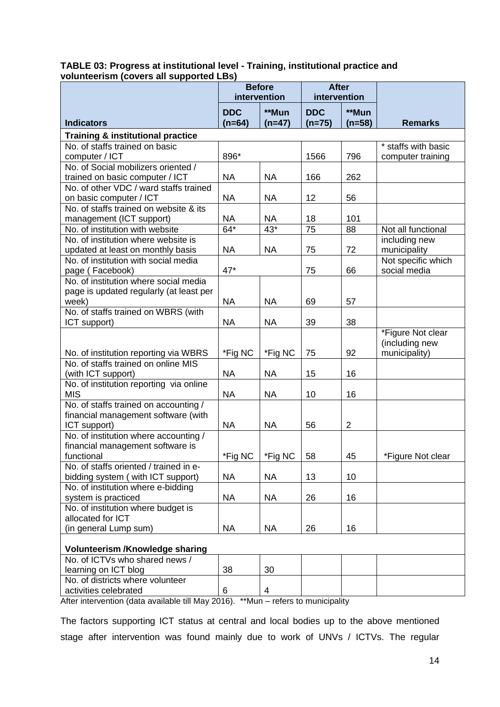|                                                                           | <b>Before</b> |           | <b>After</b>    |                 |                     |  |
|---------------------------------------------------------------------------|---------------|-----------|-----------------|-----------------|---------------------|--|
|                                                                           | intervention  |           | intervention    |                 |                     |  |
|                                                                           | <b>DDC</b>    | **Mun     | <b>DDC</b>      | **Mun           |                     |  |
| <b>Indicators</b>                                                         | $(n=64)$      | $(n=47)$  | $(n=75)$        | $(n=58)$        | <b>Remarks</b>      |  |
| <b>Training &amp; institutional practice</b>                              |               |           |                 |                 |                     |  |
| No. of staffs trained on basic                                            |               |           |                 |                 | * staffs with basic |  |
| computer / ICT                                                            | 896*          |           | 1566            | 796             | computer training   |  |
| No. of Social mobilizers oriented /                                       |               |           |                 |                 |                     |  |
| trained on basic computer / ICT<br>No. of other VDC / ward staffs trained | <b>NA</b>     | <b>NA</b> | 166             | 262             |                     |  |
| on basic computer / ICT                                                   | <b>NA</b>     | <b>NA</b> | 12              | 56              |                     |  |
| No. of staffs trained on website & its                                    |               |           |                 |                 |                     |  |
| management (ICT support)                                                  | <b>NA</b>     | <b>NA</b> | 18              | 101             |                     |  |
| No. of institution with website                                           | $64*$         | $43*$     | $\overline{75}$ | $\overline{88}$ | Not all functional  |  |
| No. of institution where website is                                       |               |           |                 |                 | including new       |  |
| updated at least on monthly basis                                         | <b>NA</b>     | <b>NA</b> | 75              | 72              | municipality        |  |
| No. of institution with social media                                      |               |           |                 |                 | Not specific which  |  |
| page (Facebook)                                                           | 47*           |           | 75              | 66              | social media        |  |
| No. of institution where social media                                     |               |           |                 |                 |                     |  |
| page is updated regularly (at least per                                   |               |           |                 |                 |                     |  |
| week)                                                                     | <b>NA</b>     | <b>NA</b> | 69              | 57              |                     |  |
| No. of staffs trained on WBRS (with                                       |               |           |                 |                 |                     |  |
| ICT support)                                                              | <b>NA</b>     | <b>NA</b> | 39              | 38              |                     |  |
|                                                                           |               |           |                 |                 | *Figure Not clear   |  |
|                                                                           |               |           |                 |                 | (including new      |  |
| No. of institution reporting via WBRS                                     | *Fig NC       | *Fig NC   | 75              | 92              | municipality)       |  |
| No. of staffs trained on online MIS                                       | <b>NA</b>     |           |                 | 16              |                     |  |
| (with ICT support)<br>No. of institution reporting via online             |               | <b>NA</b> | 15              |                 |                     |  |
| <b>MIS</b>                                                                | <b>NA</b>     | <b>NA</b> | 10              | 16              |                     |  |
| No. of staffs trained on accounting /                                     |               |           |                 |                 |                     |  |
| financial management software (with                                       |               |           |                 |                 |                     |  |
| ICT support)                                                              | <b>NA</b>     | <b>NA</b> | 56              | $\overline{2}$  |                     |  |
| No. of institution where accounting /                                     |               |           |                 |                 |                     |  |
| financial management software is                                          |               |           |                 |                 |                     |  |
| functional                                                                | *Fig NC       | *Fig NC   | 58              | 45              | *Figure Not clear   |  |
| No. of staffs oriented / trained in e-                                    |               |           |                 |                 |                     |  |
| bidding system (with ICT support)                                         | <b>NA</b>     | <b>NA</b> | 13              | 10              |                     |  |
| No. of institution where e-bidding                                        |               |           |                 |                 |                     |  |
| system is practiced                                                       | <b>NA</b>     | <b>NA</b> | 26              | 16              |                     |  |
| No. of institution where budget is                                        |               |           |                 |                 |                     |  |
| allocated for ICT                                                         |               |           |                 |                 |                     |  |
| (in general Lump sum)                                                     | <b>NA</b>     | <b>NA</b> | 26              | 16              |                     |  |
| Volunteerism /Knowledge sharing                                           |               |           |                 |                 |                     |  |
| No. of ICTVs who shared news /                                            |               |           |                 |                 |                     |  |
| learning on ICT blog                                                      | 38            | 30        |                 |                 |                     |  |
| No. of districts where volunteer                                          |               |           |                 |                 |                     |  |
| activities celebrated                                                     | 6             | 4         |                 |                 |                     |  |

#### **TABLE 03: Progress at institutional level - Training, institutional practice and volunteerism (covers all supported LBs)**

After intervention (data available till May 2016). \*\*Mun – refers to municipality

The factors supporting ICT status at central and local bodies up to the above mentioned stage after intervention was found mainly due to work of UNVs / ICTVs. The regular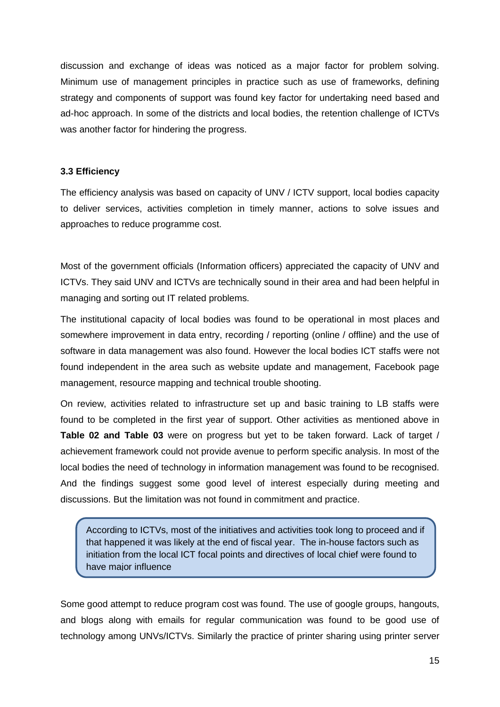discussion and exchange of ideas was noticed as a major factor for problem solving. Minimum use of management principles in practice such as use of frameworks, defining strategy and components of support was found key factor for undertaking need based and ad-hoc approach. In some of the districts and local bodies, the retention challenge of ICTVs was another factor for hindering the progress.

#### **3.3 Efficiency**

The efficiency analysis was based on capacity of UNV / ICTV support, local bodies capacity to deliver services, activities completion in timely manner, actions to solve issues and approaches to reduce programme cost.

Most of the government officials (Information officers) appreciated the capacity of UNV and ICTVs. They said UNV and ICTVs are technically sound in their area and had been helpful in managing and sorting out IT related problems.

The institutional capacity of local bodies was found to be operational in most places and somewhere improvement in data entry, recording / reporting (online / offline) and the use of software in data management was also found. However the local bodies ICT staffs were not found independent in the area such as website update and management, Facebook page management, resource mapping and technical trouble shooting.

On review, activities related to infrastructure set up and basic training to LB staffs were found to be completed in the first year of support. Other activities as mentioned above in **Table 02 and Table 03** were on progress but yet to be taken forward. Lack of target / achievement framework could not provide avenue to perform specific analysis. In most of the local bodies the need of technology in information management was found to be recognised. And the findings suggest some good level of interest especially during meeting and discussions. But the limitation was not found in commitment and practice.

According to ICTVs, most of the initiatives and activities took long to proceed and if that happened it was likely at the end of fiscal year. The in-house factors such as initiation from the local ICT focal points and directives of local chief were found to have major influence

Some good attempt to reduce program cost was found. The use of google groups, hangouts, and blogs along with emails for regular communication was found to be good use of technology among UNVs/ICTVs. Similarly the practice of printer sharing using printer server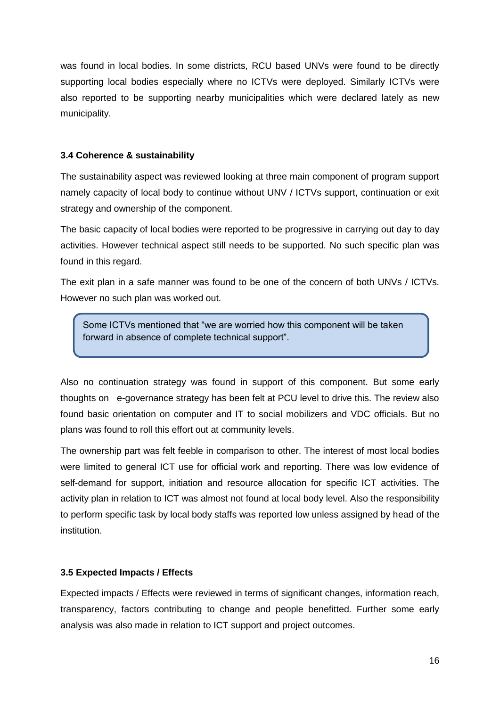was found in local bodies. In some districts, RCU based UNVs were found to be directly supporting local bodies especially where no ICTVs were deployed. Similarly ICTVs were also reported to be supporting nearby municipalities which were declared lately as new municipality.

## **3.4 Coherence & sustainability**

The sustainability aspect was reviewed looking at three main component of program support namely capacity of local body to continue without UNV / ICTVs support, continuation or exit strategy and ownership of the component.

The basic capacity of local bodies were reported to be progressive in carrying out day to day activities. However technical aspect still needs to be supported. No such specific plan was found in this regard.

The exit plan in a safe manner was found to be one of the concern of both UNVs / ICTVs. However no such plan was worked out.

Some ICTVs mentioned that "we are worried how this component will be taken forward in absence of complete technical support".

Also no continuation strategy was found in support of this component. But some early thoughts on e-governance strategy has been felt at PCU level to drive this. The review also found basic orientation on computer and IT to social mobilizers and VDC officials. But no plans was found to roll this effort out at community levels.

The ownership part was felt feeble in comparison to other. The interest of most local bodies were limited to general ICT use for official work and reporting. There was low evidence of self-demand for support, initiation and resource allocation for specific ICT activities. The activity plan in relation to ICT was almost not found at local body level. Also the responsibility to perform specific task by local body staffs was reported low unless assigned by head of the institution.

## **3.5 Expected Impacts / Effects**

Expected impacts / Effects were reviewed in terms of significant changes, information reach, transparency, factors contributing to change and people benefitted. Further some early analysis was also made in relation to ICT support and project outcomes.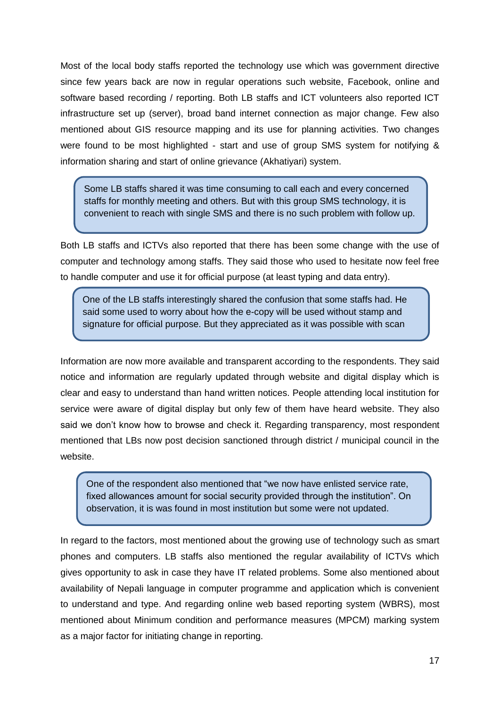Most of the local body staffs reported the technology use which was government directive since few years back are now in regular operations such website, Facebook, online and software based recording / reporting. Both LB staffs and ICT volunteers also reported ICT infrastructure set up (server), broad band internet connection as major change. Few also mentioned about GIS resource mapping and its use for planning activities. Two changes were found to be most highlighted - start and use of group SMS system for notifying & information sharing and start of online grievance (Akhatiyari) system.

Some LB staffs shared it was time consuming to call each and every concerned staffs for monthly meeting and others. But with this group SMS technology, it is convenient to reach with single SMS and there is no such problem with follow up.

Both LB staffs and ICTVs also reported that there has been some change with the use of computer and technology among staffs. They said those who used to hesitate now feel free to handle computer and use it for official purpose (at least typing and data entry).

One of the LB staffs interestingly shared the confusion that some staffs had. He said some used to worry about how the e-copy will be used without stamp and signature for official purpose. But they appreciated as it was possible with scan

Information are now more available and transparent according to the respondents. They said notice and information are regularly updated through website and digital display which is clear and easy to understand than hand written notices. People attending local institution for service were aware of digital display but only few of them have heard website. They also said we don't know how to browse and check it. Regarding transparency, most respondent mentioned that LBs now post decision sanctioned through district / municipal council in the website.

One of the respondent also mentioned that "we now have enlisted service rate, fixed allowances amount for social security provided through the institution". On observation, it is was found in most institution but some were not updated.

In regard to the factors, most mentioned about the growing use of technology such as smart phones and computers. LB staffs also mentioned the regular availability of ICTVs which gives opportunity to ask in case they have IT related problems. Some also mentioned about availability of Nepali language in computer programme and application which is convenient to understand and type. And regarding online web based reporting system (WBRS), most mentioned about Minimum condition and performance measures (MPCM) marking system as a major factor for initiating change in reporting.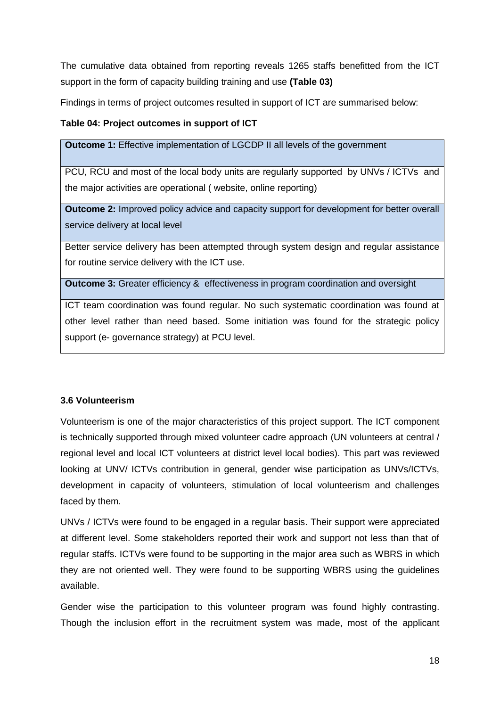The cumulative data obtained from reporting reveals 1265 staffs benefitted from the ICT support in the form of capacity building training and use **(Table 03)**

Findings in terms of project outcomes resulted in support of ICT are summarised below:

## **Table 04: Project outcomes in support of ICT**

**Outcome 1:** Effective implementation of LGCDP II all levels of the government

PCU, RCU and most of the local body units are regularly supported by UNVs / ICTVs and the major activities are operational ( website, online reporting)

**Outcome 2:** Improved policy advice and capacity support for development for better overall service delivery at local level

Better service delivery has been attempted through system design and regular assistance for routine service delivery with the ICT use.

**Outcome 3:** Greater efficiency & effectiveness in program coordination and oversight

ICT team coordination was found regular. No such systematic coordination was found at other level rather than need based. Some initiation was found for the strategic policy support (e- governance strategy) at PCU level.

## **3.6 Volunteerism**

Volunteerism is one of the major characteristics of this project support. The ICT component is technically supported through mixed volunteer cadre approach (UN volunteers at central / regional level and local ICT volunteers at district level local bodies). This part was reviewed looking at UNV/ ICTVs contribution in general, gender wise participation as UNVs/ICTVs, development in capacity of volunteers, stimulation of local volunteerism and challenges faced by them.

UNVs / ICTVs were found to be engaged in a regular basis. Their support were appreciated at different level. Some stakeholders reported their work and support not less than that of regular staffs. ICTVs were found to be supporting in the major area such as WBRS in which they are not oriented well. They were found to be supporting WBRS using the guidelines available.

Gender wise the participation to this volunteer program was found highly contrasting. Though the inclusion effort in the recruitment system was made, most of the applicant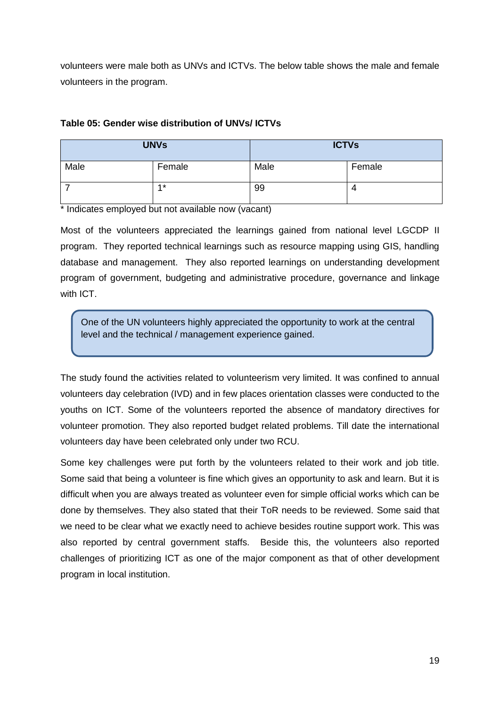volunteers were male both as UNVs and ICTVs. The below table shows the male and female volunteers in the program.

## **Table 05: Gender wise distribution of UNVs/ ICTVs**

| <b>UNVs</b> |        | <b>ICTVs</b> |        |
|-------------|--------|--------------|--------|
| Male        | Female | Male         | Female |
|             | $4*$   | 99           | 4      |

\* Indicates employed but not available now (vacant)

Most of the volunteers appreciated the learnings gained from national level LGCDP II program. They reported technical learnings such as resource mapping using GIS, handling database and management. They also reported learnings on understanding development program of government, budgeting and administrative procedure, governance and linkage with ICT.

One of the UN volunteers highly appreciated the opportunity to work at the central level and the technical / management experience gained.

The study found the activities related to volunteerism very limited. It was confined to annual volunteers day celebration (IVD) and in few places orientation classes were conducted to the youths on ICT. Some of the volunteers reported the absence of mandatory directives for volunteer promotion. They also reported budget related problems. Till date the international volunteers day have been celebrated only under two RCU.

Some key challenges were put forth by the volunteers related to their work and job title. Some said that being a volunteer is fine which gives an opportunity to ask and learn. But it is difficult when you are always treated as volunteer even for simple official works which can be done by themselves. They also stated that their ToR needs to be reviewed. Some said that we need to be clear what we exactly need to achieve besides routine support work. This was also reported by central government staffs. Beside this, the volunteers also reported challenges of prioritizing ICT as one of the major component as that of other development program in local institution.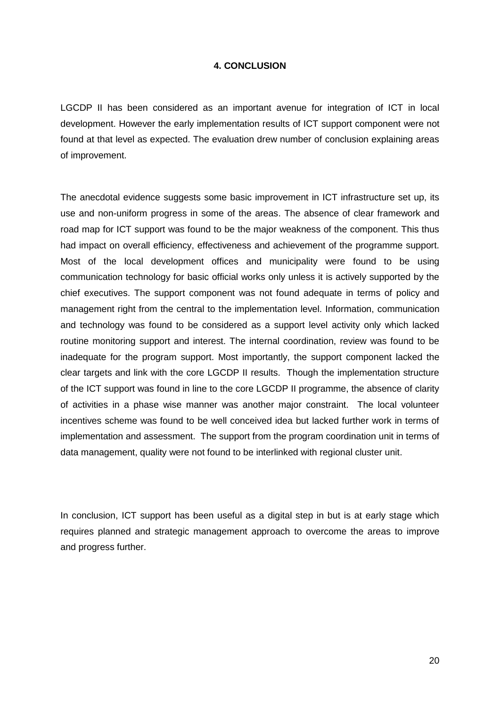#### **4. CONCLUSION**

LGCDP II has been considered as an important avenue for integration of ICT in local development. However the early implementation results of ICT support component were not found at that level as expected. The evaluation drew number of conclusion explaining areas of improvement.

The anecdotal evidence suggests some basic improvement in ICT infrastructure set up, its use and non-uniform progress in some of the areas. The absence of clear framework and road map for ICT support was found to be the major weakness of the component. This thus had impact on overall efficiency, effectiveness and achievement of the programme support. Most of the local development offices and municipality were found to be using communication technology for basic official works only unless it is actively supported by the chief executives. The support component was not found adequate in terms of policy and management right from the central to the implementation level. Information, communication and technology was found to be considered as a support level activity only which lacked routine monitoring support and interest. The internal coordination, review was found to be inadequate for the program support. Most importantly, the support component lacked the clear targets and link with the core LGCDP II results. Though the implementation structure of the ICT support was found in line to the core LGCDP II programme, the absence of clarity of activities in a phase wise manner was another major constraint. The local volunteer incentives scheme was found to be well conceived idea but lacked further work in terms of implementation and assessment. The support from the program coordination unit in terms of data management, quality were not found to be interlinked with regional cluster unit.

In conclusion, ICT support has been useful as a digital step in but is at early stage which requires planned and strategic management approach to overcome the areas to improve and progress further.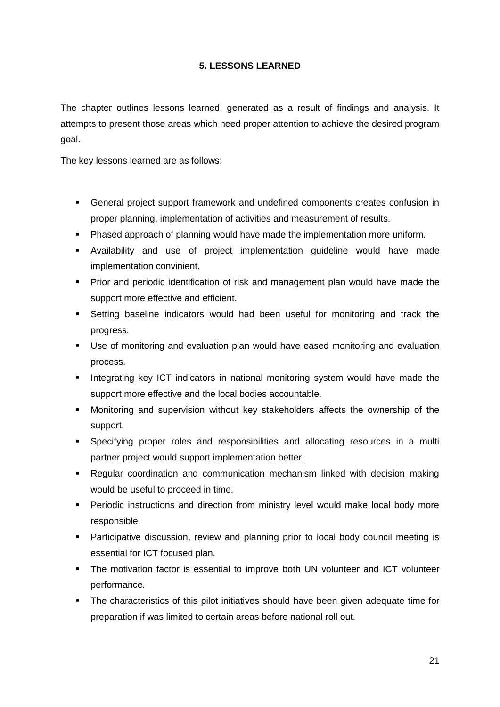## **5. LESSONS LEARNED**

The chapter outlines lessons learned, generated as a result of findings and analysis. It attempts to present those areas which need proper attention to achieve the desired program goal.

The key lessons learned are as follows:

- General project support framework and undefined components creates confusion in proper planning, implementation of activities and measurement of results.
- **Phased approach of planning would have made the implementation more uniform.**
- Availability and use of project implementation guideline would have made implementation convinient.
- Prior and periodic identification of risk and management plan would have made the support more effective and efficient.
- Setting baseline indicators would had been useful for monitoring and track the progress.
- Use of monitoring and evaluation plan would have eased monitoring and evaluation process.
- **Integrating key ICT indicators in national monitoring system would have made the** support more effective and the local bodies accountable.
- Monitoring and supervision without key stakeholders affects the ownership of the support.
- Specifying proper roles and responsibilities and allocating resources in a multi partner project would support implementation better.
- Regular coordination and communication mechanism linked with decision making would be useful to proceed in time.
- **Periodic instructions and direction from ministry level would make local body more** responsible.
- Participative discussion, review and planning prior to local body council meeting is essential for ICT focused plan.
- The motivation factor is essential to improve both UN volunteer and ICT volunteer performance.
- The characteristics of this pilot initiatives should have been given adequate time for preparation if was limited to certain areas before national roll out.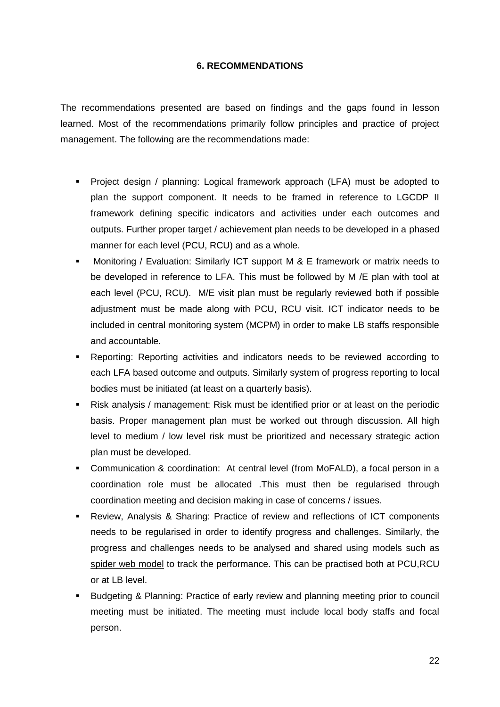#### **6. RECOMMENDATIONS**

The recommendations presented are based on findings and the gaps found in lesson learned. Most of the recommendations primarily follow principles and practice of project management. The following are the recommendations made:

- Project design / planning: Logical framework approach (LFA) must be adopted to plan the support component. It needs to be framed in reference to LGCDP II framework defining specific indicators and activities under each outcomes and outputs. Further proper target / achievement plan needs to be developed in a phased manner for each level (PCU, RCU) and as a whole.
- **Monitoring / Evaluation: Similarly ICT support M & E framework or matrix needs to** be developed in reference to LFA. This must be followed by M /E plan with tool at each level (PCU, RCU). M/E visit plan must be regularly reviewed both if possible adjustment must be made along with PCU, RCU visit. ICT indicator needs to be included in central monitoring system (MCPM) in order to make LB staffs responsible and accountable.
- Reporting: Reporting activities and indicators needs to be reviewed according to each LFA based outcome and outputs. Similarly system of progress reporting to local bodies must be initiated (at least on a quarterly basis).
- Risk analysis / management: Risk must be identified prior or at least on the periodic basis. Proper management plan must be worked out through discussion. All high level to medium / low level risk must be prioritized and necessary strategic action plan must be developed.
- Communication & coordination: At central level (from MoFALD), a focal person in a coordination role must be allocated .This must then be regularised through coordination meeting and decision making in case of concerns / issues.
- Review, Analysis & Sharing: Practice of review and reflections of ICT components needs to be regularised in order to identify progress and challenges. Similarly, the progress and challenges needs to be analysed and shared using models such as spider web model to track the performance. This can be practised both at PCU,RCU or at LB level.
- Budgeting & Planning: Practice of early review and planning meeting prior to council meeting must be initiated. The meeting must include local body staffs and focal person.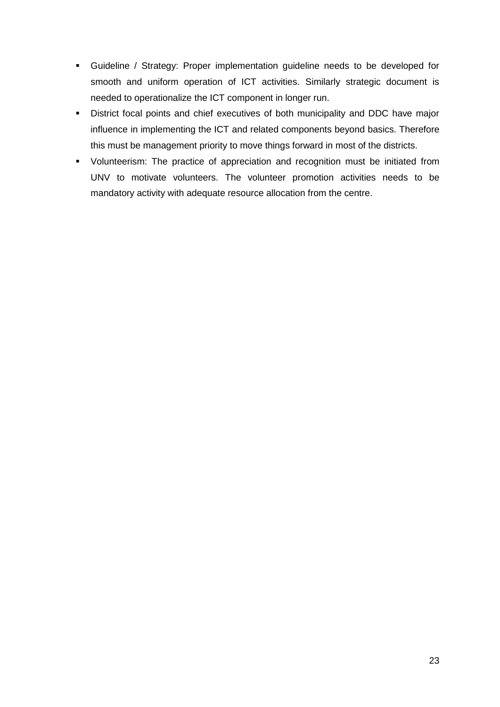- Guideline / Strategy: Proper implementation guideline needs to be developed for smooth and uniform operation of ICT activities. Similarly strategic document is needed to operationalize the ICT component in longer run.
- District focal points and chief executives of both municipality and DDC have major influence in implementing the ICT and related components beyond basics. Therefore this must be management priority to move things forward in most of the districts.
- Volunteerism: The practice of appreciation and recognition must be initiated from UNV to motivate volunteers. The volunteer promotion activities needs to be mandatory activity with adequate resource allocation from the centre.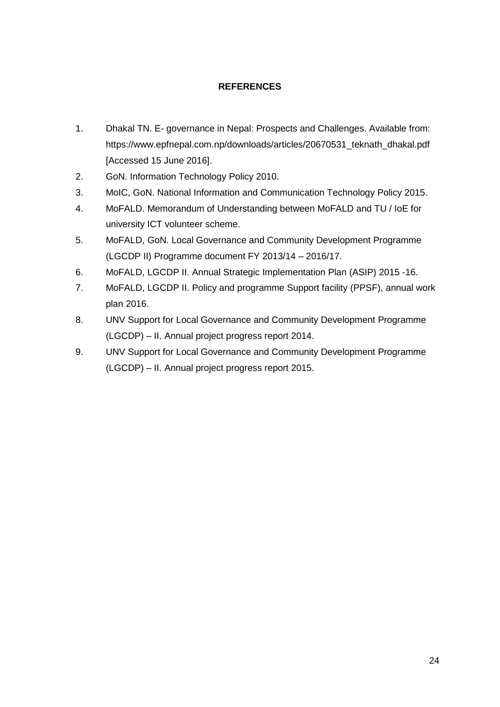## **REFERENCES**

- 1. Dhakal TN. E- governance in Nepal: Prospects and Challenges. Available from: https://www.epfnepal.com.np/downloads/articles/20670531\_teknath\_dhakal.pdf [Accessed 15 June 2016].
- 2. GoN. Information Technology Policy 2010.
- 3. MoIC, GoN. National Information and Communication Technology Policy 2015.
- 4. MoFALD. Memorandum of Understanding between MoFALD and TU / IoE for university ICT volunteer scheme.
- 5. MoFALD, GoN. Local Governance and Community Development Programme (LGCDP II) Programme document FY 2013/14 – 2016/17.
- 6. MoFALD, LGCDP II. Annual Strategic Implementation Plan (ASIP) 2015 -16.
- 7. MoFALD, LGCDP II. Policy and programme Support facility (PPSF), annual work plan 2016.
- 8. UNV Support for Local Governance and Community Development Programme (LGCDP) – II. Annual project progress report 2014.
- 9. UNV Support for Local Governance and Community Development Programme (LGCDP) – II. Annual project progress report 2015.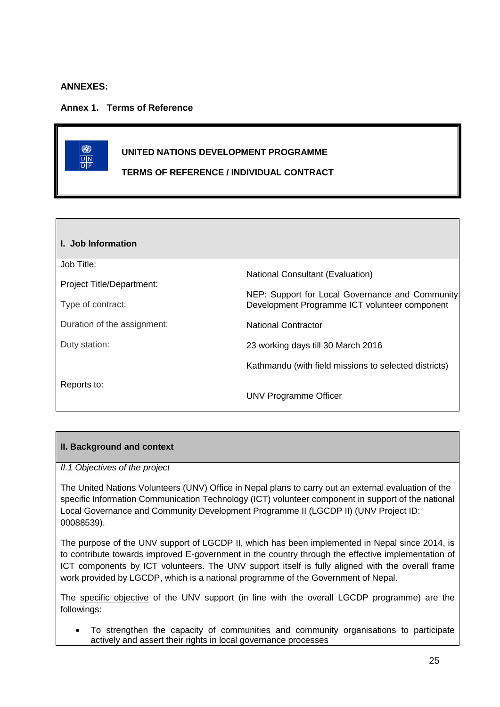### **ANNEXES:**

**Annex 1. Terms of Reference**

# 0 **UNITED NATIONS DEVELOPMENT PROGRAMME**  $\frac{\overline{U|N}}{\overline{D|P}}$ **TERMS OF REFERENCE / INDIVIDUAL CONTRACT**

| I. Job Information          |                                                                                                  |
|-----------------------------|--------------------------------------------------------------------------------------------------|
| Job Title:                  |                                                                                                  |
| Project Title/Department:   | <b>National Consultant (Evaluation)</b>                                                          |
| Type of contract:           | NEP: Support for Local Governance and Community<br>Development Programme ICT volunteer component |
| Duration of the assignment: | <b>National Contractor</b>                                                                       |
| Duty station:               | 23 working days till 30 March 2016                                                               |
|                             | Kathmandu (with field missions to selected districts)                                            |
| Reports to:                 | UNV Programme Officer                                                                            |

## **II. Background and context**

#### *II.1 Objectives of the project*

The United Nations Volunteers (UNV) Office in Nepal plans to carry out an external evaluation of the specific Information Communication Technology (ICT) volunteer component in support of the national Local Governance and Community Development Programme II (LGCDP II) (UNV Project ID: 00088539).

The purpose of the UNV support of LGCDP II, which has been implemented in Nepal since 2014, is to contribute towards improved E-government in the country through the effective implementation of ICT components by ICT volunteers. The UNV support itself is fully aligned with the overall frame work provided by LGCDP, which is a national programme of the Government of Nepal.

The specific objective of the UNV support (in line with the overall LGCDP programme) are the followings:

 To strengthen the capacity of communities and community organisations to participate actively and assert their rights in local governance processes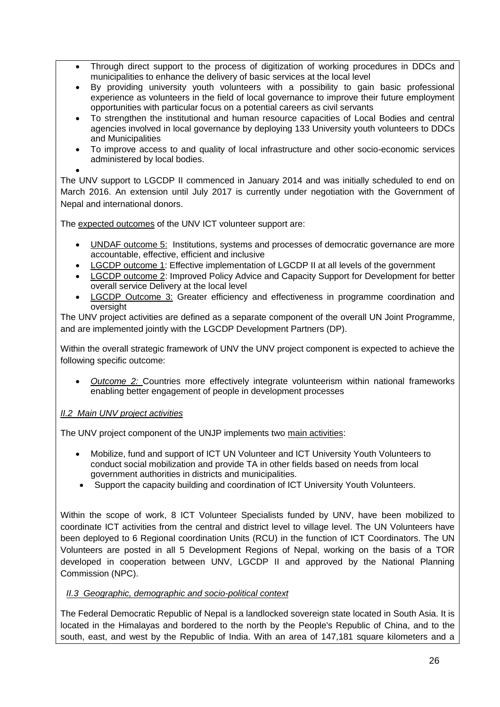- Through direct support to the process of digitization of working procedures in DDCs and municipalities to enhance the delivery of basic services at the local level
- By providing university youth volunteers with a possibility to gain basic professional experience as volunteers in the field of local governance to improve their future employment opportunities with particular focus on a potential careers as civil servants
- To strengthen the institutional and human resource capacities of Local Bodies and central agencies involved in local governance by deploying 133 University youth volunteers to DDCs and Municipalities
- To improve access to and quality of local infrastructure and other socio-economic services administered by local bodies.
- $\bullet$

The UNV support to LGCDP II commenced in January 2014 and was initially scheduled to end on March 2016. An extension until July 2017 is currently under negotiation with the Government of Nepal and international donors.

The expected outcomes of the UNV ICT volunteer support are:

- UNDAF outcome 5: Institutions, systems and processes of democratic governance are more accountable, effective, efficient and inclusive
- LGCDP outcome 1: Effective implementation of LGCDP II at all levels of the government
- LGCDP outcome 2: Improved Policy Advice and Capacity Support for Development for better overall service Delivery at the local level
- **LGCDP** Outcome 3: Greater efficiency and effectiveness in programme coordination and oversight

The UNV project activities are defined as a separate component of the overall UN Joint Programme, and are implemented jointly with the LGCDP Development Partners (DP).

Within the overall strategic framework of UNV the UNV project component is expected to achieve the following specific outcome:

 *Outcome 2:* Countries more effectively integrate volunteerism within national frameworks enabling better engagement of people in development processes

## *II.2 Main UNV project activities*

The UNV project component of the UNJP implements two main activities:

- Mobilize, fund and support of ICT UN Volunteer and ICT University Youth Volunteers to conduct social mobilization and provide TA in other fields based on needs from local government authorities in districts and municipalities.
- Support the capacity building and coordination of ICT University Youth Volunteers.

Within the scope of work, 8 ICT Volunteer Specialists funded by UNV, have been mobilized to coordinate ICT activities from the central and district level to village level. The UN Volunteers have been deployed to 6 Regional coordination Units (RCU) in the function of ICT Coordinators. The UN Volunteers are posted in all 5 Development Regions of Nepal, working on the basis of a TOR developed in cooperation between UNV, LGCDP II and approved by the National Planning Commission (NPC).

## *II.3 Geographic, demographic and socio-political context*

The Federal Democratic Republic of Nepal is a landlocked sovereign state located in South Asia. It is located in the Himalayas and bordered to the north by the People's Republic of China, and to the south, east, and west by the Republic of India. With an area of 147,181 square kilometers and a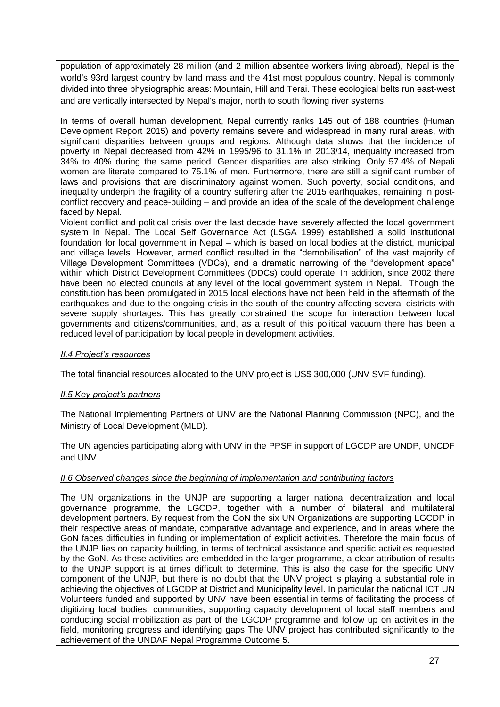population of approximately 28 million (and 2 million absentee workers living abroad), Nepal is the world's 93rd largest country by land mass and the 41st most populous country. Nepal is commonly divided into three physiographic areas: Mountain, Hill and Terai. These ecological belts run east-west and are vertically intersected by Nepal's major, north to south flowing river systems.

In terms of overall human development, Nepal currently ranks 145 out of 188 countries (Human Development Report 2015) and poverty remains severe and widespread in many rural areas, with significant disparities between groups and regions. Although data shows that the incidence of poverty in Nepal decreased from 42% in 1995/96 to 31.1% in 2013/14, inequality increased from 34% to 40% during the same period. Gender disparities are also striking. Only 57.4% of Nepali women are literate compared to 75.1% of men. Furthermore, there are still a significant number of laws and provisions that are discriminatory against women. Such poverty, social conditions, and inequality underpin the fragility of a country suffering after the 2015 earthquakes, remaining in postconflict recovery and peace-building – and provide an idea of the scale of the development challenge faced by Nepal.

Violent conflict and political crisis over the last decade have severely affected the local government system in Nepal. The Local Self Governance Act (LSGA 1999) established a solid institutional foundation for local government in Nepal – which is based on local bodies at the district, municipal and village levels. However, armed conflict resulted in the "demobilisation" of the vast majority of Village Development Committees (VDCs), and a dramatic narrowing of the "development space" within which District Development Committees (DDCs) could operate. In addition, since 2002 there have been no elected councils at any level of the local government system in Nepal. Though the constitution has been promulgated in 2015 local elections have not been held in the aftermath of the earthquakes and due to the ongoing crisis in the south of the country affecting several districts with severe supply shortages. This has greatly constrained the scope for interaction between local governments and citizens/communities, and, as a result of this political vacuum there has been a reduced level of participation by local people in development activities.

#### *II.4 Project's resources*

The total financial resources allocated to the UNV project is US\$ 300,000 (UNV SVF funding).

#### *II.5 Key project's partners*

The National Implementing Partners of UNV are the National Planning Commission (NPC), and the Ministry of Local Development (MLD).

The UN agencies participating along with UNV in the PPSF in support of LGCDP are UNDP, UNCDF and UNV

#### *II.6 Observed changes since the beginning of implementation and contributing factors*

The UN organizations in the UNJP are supporting a larger national decentralization and local governance programme, the LGCDP, together with a number of bilateral and multilateral development partners. By request from the GoN the six UN Organizations are supporting LGCDP in their respective areas of mandate, comparative advantage and experience, and in areas where the GoN faces difficulties in funding or implementation of explicit activities. Therefore the main focus of the UNJP lies on capacity building, in terms of technical assistance and specific activities requested by the GoN. As these activities are embedded in the larger programme, a clear attribution of results to the UNJP support is at times difficult to determine. This is also the case for the specific UNV component of the UNJP, but there is no doubt that the UNV project is playing a substantial role in achieving the objectives of LGCDP at District and Municipality level. In particular the national ICT UN Volunteers funded and supported by UNV have been essential in terms of facilitating the process of digitizing local bodies, communities, supporting capacity development of local staff members and conducting social mobilization as part of the LGCDP programme and follow up on activities in the field, monitoring progress and identifying gaps The UNV project has contributed significantly to the achievement of the UNDAF Nepal Programme Outcome 5.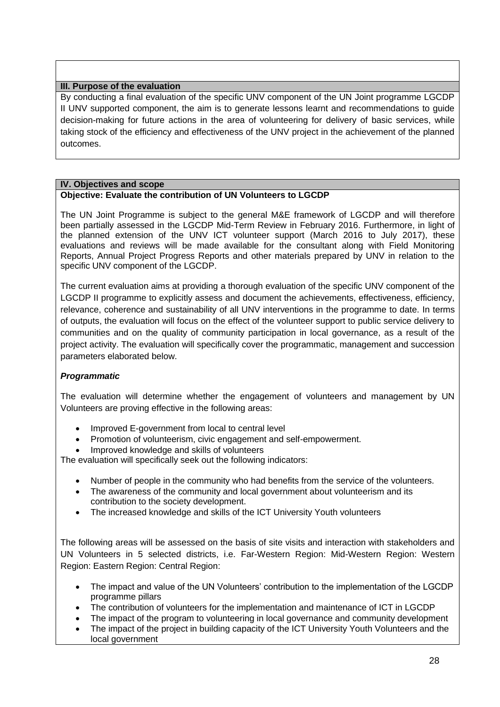#### **III. Purpose of the evaluation**

By conducting a final evaluation of the specific UNV component of the UN Joint programme LGCDP II UNV supported component, the aim is to generate lessons learnt and recommendations to guide decision-making for future actions in the area of volunteering for delivery of basic services, while taking stock of the efficiency and effectiveness of the UNV project in the achievement of the planned outcomes.

#### **IV. Objectives and scope**

#### **Objective: Evaluate the contribution of UN Volunteers to LGCDP**

The UN Joint Programme is subject to the general M&E framework of LGCDP and will therefore been partially assessed in the LGCDP Mid-Term Review in February 2016. Furthermore, in light of the planned extension of the UNV ICT volunteer support (March 2016 to July 2017), these evaluations and reviews will be made available for the consultant along with Field Monitoring Reports, Annual Project Progress Reports and other materials prepared by UNV in relation to the specific UNV component of the LGCDP.

The current evaluation aims at providing a thorough evaluation of the specific UNV component of the LGCDP II programme to explicitly assess and document the achievements, effectiveness, efficiency, relevance, coherence and sustainability of all UNV interventions in the programme to date. In terms of outputs, the evaluation will focus on the effect of the volunteer support to public service delivery to communities and on the quality of community participation in local governance, as a result of the project activity. The evaluation will specifically cover the programmatic, management and succession parameters elaborated below.

#### *Programmatic*

The evaluation will determine whether the engagement of volunteers and management by UN Volunteers are proving effective in the following areas:

- Improved E-government from local to central level
- Promotion of volunteerism, civic engagement and self-empowerment.
- Improved knowledge and skills of volunteers

The evaluation will specifically seek out the following indicators:

- Number of people in the community who had benefits from the service of the volunteers.
- The awareness of the community and local government about volunteerism and its contribution to the society development.
- The increased knowledge and skills of the ICT University Youth volunteers

The following areas will be assessed on the basis of site visits and interaction with stakeholders and UN Volunteers in 5 selected districts, i.e. Far-Western Region: Mid-Western Region: Western Region: Eastern Region: Central Region:

- The impact and value of the UN Volunteers' contribution to the implementation of the LGCDP programme pillars
- The contribution of volunteers for the implementation and maintenance of ICT in LGCDP
- The impact of the program to volunteering in local governance and community development
- The impact of the project in building capacity of the ICT University Youth Volunteers and the local government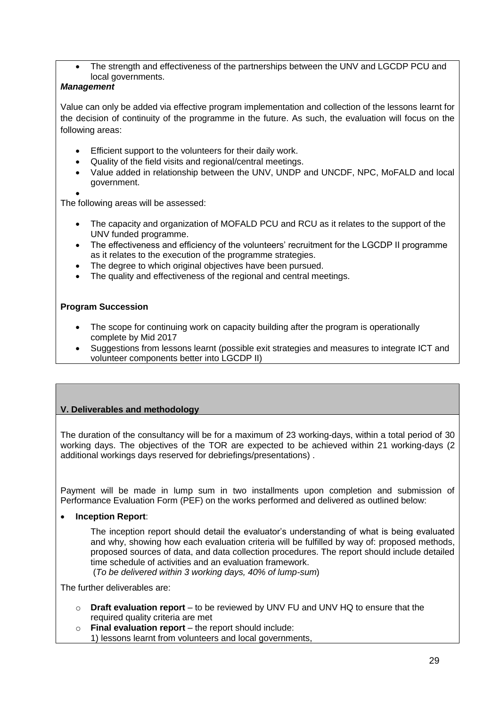The strength and effectiveness of the partnerships between the UNV and LGCDP PCU and local governments.

### *Management*

Value can only be added via effective program implementation and collection of the lessons learnt for the decision of continuity of the programme in the future. As such, the evaluation will focus on the following areas:

- Efficient support to the volunteers for their daily work.
- Quality of the field visits and regional/central meetings.
- Value added in relationship between the UNV, UNDP and UNCDF, NPC, MoFALD and local government.
- $\bullet$

The following areas will be assessed:

- The capacity and organization of MOFALD PCU and RCU as it relates to the support of the UNV funded programme.
- The effectiveness and efficiency of the volunteers' recruitment for the LGCDP II programme as it relates to the execution of the programme strategies.
- The degree to which original objectives have been pursued.
- The quality and effectiveness of the regional and central meetings.

## **Program Succession**

- The scope for continuing work on capacity building after the program is operationally complete by Mid 2017
- Suggestions from lessons learnt (possible exit strategies and measures to integrate ICT and volunteer components better into LGCDP II)

## **V. Deliverables and methodology**

The duration of the consultancy will be for a maximum of 23 working-days, within a total period of 30 working days. The objectives of the TOR are expected to be achieved within 21 working-days (2 additional workings days reserved for debriefings/presentations) .

Payment will be made in lump sum in two installments upon completion and submission of Performance Evaluation Form (PEF) on the works performed and delivered as outlined below:

**Inception Report**:

The inception report should detail the evaluator's understanding of what is being evaluated and why, showing how each evaluation criteria will be fulfilled by way of: proposed methods, proposed sources of data, and data collection procedures. The report should include detailed time schedule of activities and an evaluation framework.

(*To be delivered within 3 working days, 40% of lump-sum*)

The further deliverables are:

- o **Draft evaluation report** to be reviewed by UNV FU and UNV HQ to ensure that the required quality criteria are met
- o **Final evaluation report** the report should include:
	- 1) lessons learnt from volunteers and local governments,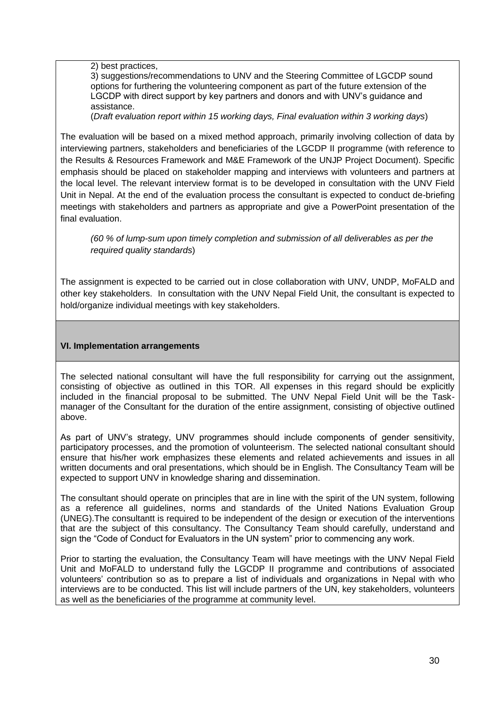2) best practices,

3) suggestions/recommendations to UNV and the Steering Committee of LGCDP sound options for furthering the volunteering component as part of the future extension of the LGCDP with direct support by key partners and donors and with UNV's guidance and assistance.

(*Draft evaluation report within 15 working days, Final evaluation within 3 working days*)

The evaluation will be based on a mixed method approach, primarily involving collection of data by interviewing partners, stakeholders and beneficiaries of the LGCDP II programme (with reference to the Results & Resources Framework and M&E Framework of the UNJP Project Document). Specific emphasis should be placed on stakeholder mapping and interviews with volunteers and partners at the local level. The relevant interview format is to be developed in consultation with the UNV Field Unit in Nepal. At the end of the evaluation process the consultant is expected to conduct de-briefing meetings with stakeholders and partners as appropriate and give a PowerPoint presentation of the final evaluation.

*(60 % of lump-sum upon timely completion and submission of all deliverables as per the required quality standards*)

The assignment is expected to be carried out in close collaboration with UNV, UNDP, MoFALD and other key stakeholders. In consultation with the UNV Nepal Field Unit, the consultant is expected to hold/organize individual meetings with key stakeholders.

#### **VI. Implementation arrangements**

The selected national consultant will have the full responsibility for carrying out the assignment, consisting of objective as outlined in this TOR. All expenses in this regard should be explicitly included in the financial proposal to be submitted. The UNV Nepal Field Unit will be the Taskmanager of the Consultant for the duration of the entire assignment, consisting of objective outlined above.

As part of UNV's strategy, UNV programmes should include components of gender sensitivity, participatory processes, and the promotion of volunteerism. The selected national consultant should ensure that his/her work emphasizes these elements and related achievements and issues in all written documents and oral presentations, which should be in English. The Consultancy Team will be expected to support UNV in knowledge sharing and dissemination.

The consultant should operate on principles that are in line with the spirit of the UN system, following as a reference all guidelines, norms and standards of the United Nations Evaluation Group (UNEG).The consultantt is required to be independent of the design or execution of the interventions that are the subject of this consultancy. The Consultancy Team should carefully, understand and sign the "Code of Conduct for Evaluators in the UN system" prior to commencing any work.

Prior to starting the evaluation, the Consultancy Team will have meetings with the UNV Nepal Field Unit and MoFALD to understand fully the LGCDP II programme and contributions of associated volunteers' contribution so as to prepare a list of individuals and organizations in Nepal with who interviews are to be conducted. This list will include partners of the UN, key stakeholders, volunteers as well as the beneficiaries of the programme at community level.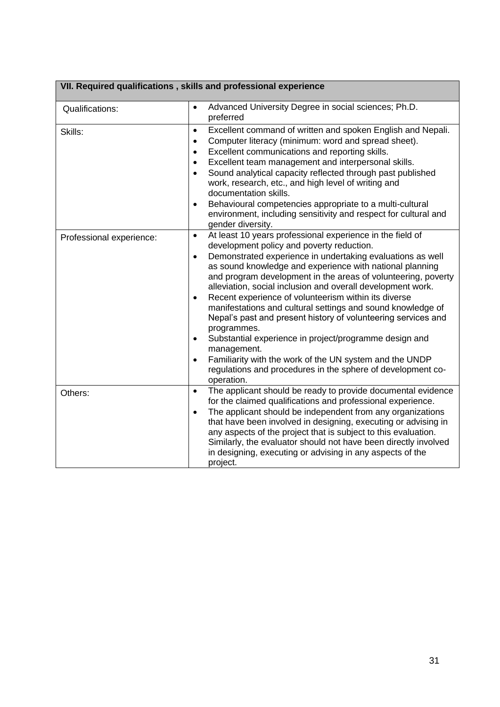|                          | VII. Required qualifications, skills and professional experience                                                                                                                                                                                                                                                                                                                                                                                                                                                                                                                                                                                                                                                                                                                                                                                          |
|--------------------------|-----------------------------------------------------------------------------------------------------------------------------------------------------------------------------------------------------------------------------------------------------------------------------------------------------------------------------------------------------------------------------------------------------------------------------------------------------------------------------------------------------------------------------------------------------------------------------------------------------------------------------------------------------------------------------------------------------------------------------------------------------------------------------------------------------------------------------------------------------------|
| Qualifications:          | Advanced University Degree in social sciences; Ph.D.<br>$\bullet$<br>preferred                                                                                                                                                                                                                                                                                                                                                                                                                                                                                                                                                                                                                                                                                                                                                                            |
| Skills:                  | Excellent command of written and spoken English and Nepali.<br>$\bullet$<br>Computer literacy (minimum: word and spread sheet).<br>$\bullet$<br>Excellent communications and reporting skills.<br>$\bullet$<br>Excellent team management and interpersonal skills.<br>$\bullet$<br>Sound analytical capacity reflected through past published<br>$\bullet$<br>work, research, etc., and high level of writing and<br>documentation skills.<br>Behavioural competencies appropriate to a multi-cultural<br>$\bullet$<br>environment, including sensitivity and respect for cultural and<br>gender diversity.                                                                                                                                                                                                                                               |
| Professional experience: | At least 10 years professional experience in the field of<br>$\bullet$<br>development policy and poverty reduction.<br>Demonstrated experience in undertaking evaluations as well<br>$\bullet$<br>as sound knowledge and experience with national planning<br>and program development in the areas of volunteering, poverty<br>alleviation, social inclusion and overall development work.<br>Recent experience of volunteerism within its diverse<br>$\bullet$<br>manifestations and cultural settings and sound knowledge of<br>Nepal's past and present history of volunteering services and<br>programmes.<br>Substantial experience in project/programme design and<br>$\bullet$<br>management.<br>Familiarity with the work of the UN system and the UNDP<br>$\bullet$<br>regulations and procedures in the sphere of development co-<br>operation. |
| Others:                  | The applicant should be ready to provide documental evidence<br>$\bullet$<br>for the claimed qualifications and professional experience.<br>The applicant should be independent from any organizations<br>$\bullet$<br>that have been involved in designing, executing or advising in<br>any aspects of the project that is subject to this evaluation.<br>Similarly, the evaluator should not have been directly involved<br>in designing, executing or advising in any aspects of the<br>project.                                                                                                                                                                                                                                                                                                                                                       |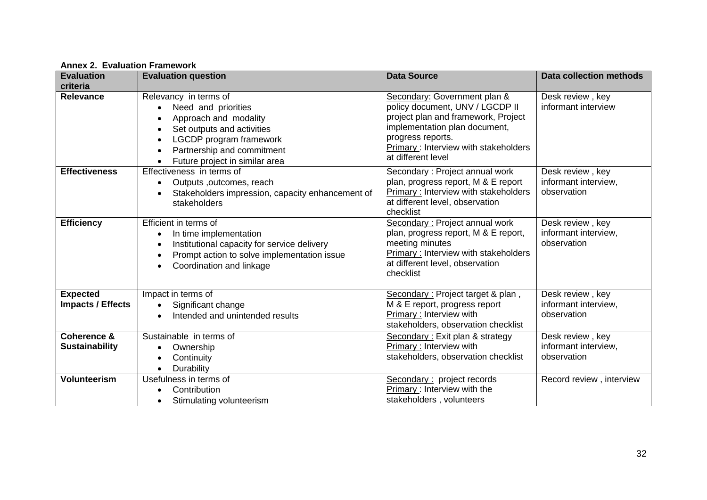| <b>Evaluation</b>                               | <b>Evaluation question</b>                                                                                                                                                                                  | <b>Data Source</b>                                                                                                                                                                                                         | <b>Data collection methods</b>                          |
|-------------------------------------------------|-------------------------------------------------------------------------------------------------------------------------------------------------------------------------------------------------------------|----------------------------------------------------------------------------------------------------------------------------------------------------------------------------------------------------------------------------|---------------------------------------------------------|
| criteria                                        |                                                                                                                                                                                                             |                                                                                                                                                                                                                            |                                                         |
| <b>Relevance</b>                                | Relevancy in terms of<br>Need and priorities<br>Approach and modality<br>Set outputs and activities<br>LGCDP program framework<br>$\bullet$<br>Partnership and commitment<br>Future project in similar area | Secondary: Government plan &<br>policy document, UNV / LGCDP II<br>project plan and framework, Project<br>implementation plan document,<br>progress reports.<br>Primary: Interview with stakeholders<br>at different level | Desk review, key<br>informant interview                 |
| <b>Effectiveness</b>                            | Effectiveness in terms of<br>Outputs, outcomes, reach<br>Stakeholders impression, capacity enhancement of<br>stakeholders                                                                                   | Secondary: Project annual work<br>plan, progress report, M & E report<br><b>Primary: Interview with stakeholders</b><br>at different level, observation<br>checklist                                                       | Desk review, key<br>informant interview,<br>observation |
| <b>Efficiency</b>                               | Efficient in terms of<br>In time implementation<br>Institutional capacity for service delivery<br>Prompt action to solve implementation issue<br>Coordination and linkage<br>$\bullet$                      | Secondary: Project annual work<br>plan, progress report, M & E report,<br>meeting minutes<br>Primary: Interview with stakeholders<br>at different level, observation<br>checklist                                          | Desk review, key<br>informant interview,<br>observation |
| <b>Expected</b><br><b>Impacts / Effects</b>     | Impact in terms of<br>Significant change<br>$\bullet$<br>Intended and unintended results                                                                                                                    | Secondary: Project target & plan,<br>M & E report, progress report<br>Primary: Interview with<br>stakeholders, observation checklist                                                                                       | Desk review, key<br>informant interview,<br>observation |
| <b>Coherence &amp;</b><br><b>Sustainability</b> | Sustainable in terms of<br>Ownership<br>Continuity<br>Durability                                                                                                                                            | Secondary: Exit plan & strategy<br>Primary: Interview with<br>stakeholders, observation checklist                                                                                                                          | Desk review, key<br>informant interview,<br>observation |
| <b>Volunteerism</b>                             | Usefulness in terms of<br>Contribution<br>Stimulating volunteerism<br>$\bullet$                                                                                                                             | Secondary: project records<br>Primary: Interview with the<br>stakeholders, volunteers                                                                                                                                      | Record review, interview                                |

**Annex 2. Evaluation Framework**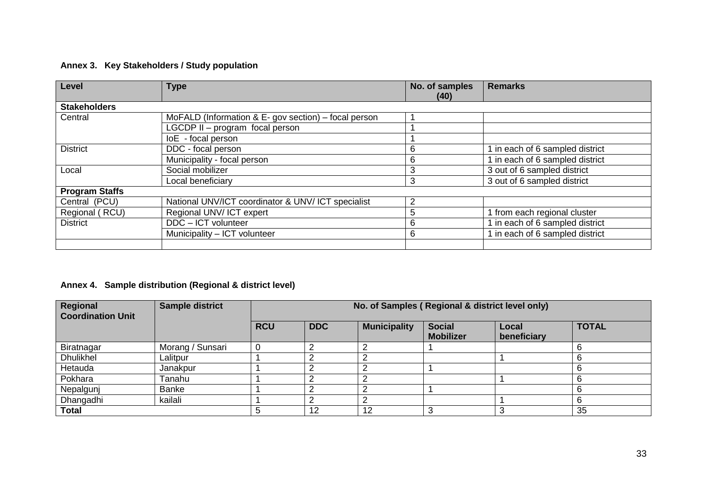## **Annex 3. Key Stakeholders / Study population**

| Level                 | <b>Type</b>                                          | No. of samples<br>(40) | <b>Remarks</b>                  |
|-----------------------|------------------------------------------------------|------------------------|---------------------------------|
| <b>Stakeholders</b>   |                                                      |                        |                                 |
| Central               | MoFALD (Information & E- gov section) – focal person |                        |                                 |
|                       | LGCDP II - program focal person                      |                        |                                 |
|                       | loE - focal person                                   |                        |                                 |
| <b>District</b>       | DDC - focal person                                   | 6                      | 1 in each of 6 sampled district |
|                       | Municipality - focal person                          | 6                      | 1 in each of 6 sampled district |
| Local                 | Social mobilizer                                     | 3                      | 3 out of 6 sampled district     |
|                       | Local beneficiary                                    | 3                      | 3 out of 6 sampled district     |
| <b>Program Staffs</b> |                                                      |                        |                                 |
| Central (PCU)         | National UNV/ICT coordinator & UNV/ ICT specialist   | 2                      |                                 |
| Regional (RCU)        | Regional UNV/ICT expert                              | 5                      | 1 from each regional cluster    |
| <b>District</b>       | $\overline{DDC}$ – ICT volunteer                     | 6                      | 1 in each of 6 sampled district |
|                       | Municipality - ICT volunteer                         | 6                      | 1 in each of 6 sampled district |
|                       |                                                      |                        |                                 |

# **Annex 4. Sample distribution (Regional & district level)**

| Regional<br><b>Coordination Unit</b> | <b>Sample district</b> |            | No. of Samples (Regional & district level only) |                     |                                   |                      |              |  |  |  |  |
|--------------------------------------|------------------------|------------|-------------------------------------------------|---------------------|-----------------------------------|----------------------|--------------|--|--|--|--|
|                                      |                        | <b>RCU</b> | <b>DDC</b>                                      | <b>Municipality</b> | <b>Social</b><br><b>Mobilizer</b> | Local<br>beneficiary | <b>TOTAL</b> |  |  |  |  |
| Biratnagar                           | Morang / Sunsari       |            |                                                 |                     |                                   |                      | 6            |  |  |  |  |
| <b>Dhulikhel</b>                     | Lalitpur               |            |                                                 |                     |                                   |                      | 6            |  |  |  |  |
| Hetauda                              | Janakpur               |            |                                                 |                     |                                   |                      | 6            |  |  |  |  |
| Pokhara                              | Tanahu                 |            |                                                 |                     |                                   |                      | 6            |  |  |  |  |
| Nepalgunj                            | Banke                  |            |                                                 |                     |                                   |                      | 6            |  |  |  |  |
| Dhangadhi                            | kailali                |            |                                                 |                     |                                   |                      | 6            |  |  |  |  |
| <b>Total</b>                         |                        |            | 12                                              | 10                  |                                   |                      | 35           |  |  |  |  |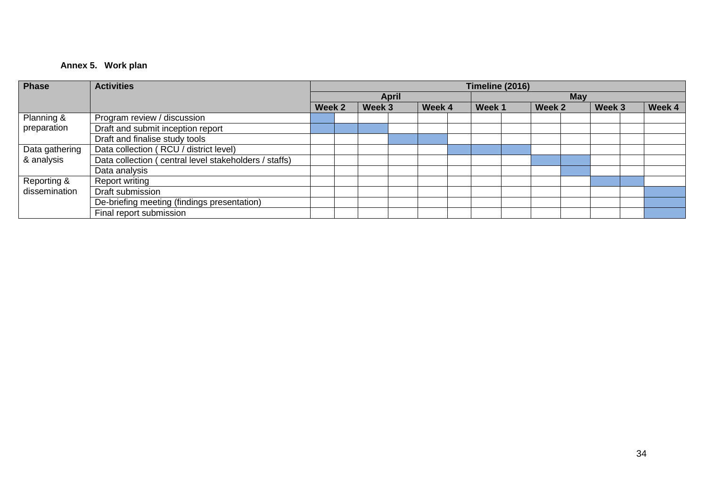## **Annex 5. Work plan**

| Phase          | <b>Activities</b>                                      | Timeline (2016) |  |        |              |        |  |        |  |        |            |        |        |
|----------------|--------------------------------------------------------|-----------------|--|--------|--------------|--------|--|--------|--|--------|------------|--------|--------|
|                |                                                        |                 |  |        | <b>April</b> |        |  |        |  |        | <b>May</b> |        |        |
|                |                                                        | Week 2          |  | Week 3 |              | Week 4 |  | Week 1 |  | Week 2 |            | Week 3 | Week 4 |
| Planning &     | Program review / discussion                            |                 |  |        |              |        |  |        |  |        |            |        |        |
| preparation    | Draft and submit inception report                      |                 |  |        |              |        |  |        |  |        |            |        |        |
|                | Draft and finalise study tools                         |                 |  |        |              |        |  |        |  |        |            |        |        |
| Data gathering | Data collection (RCU / district level)                 |                 |  |        |              |        |  |        |  |        |            |        |        |
| & analysis     | Data collection ( central level stakeholders / staffs) |                 |  |        |              |        |  |        |  |        |            |        |        |
|                | Data analysis                                          |                 |  |        |              |        |  |        |  |        |            |        |        |
| Reporting &    | Report writing                                         |                 |  |        |              |        |  |        |  |        |            |        |        |
| dissemination  | Draft submission                                       |                 |  |        |              |        |  |        |  |        |            |        |        |
|                | De-briefing meeting (findings presentation)            |                 |  |        |              |        |  |        |  |        |            |        |        |
|                | Final report submission                                |                 |  |        |              |        |  |        |  |        |            |        |        |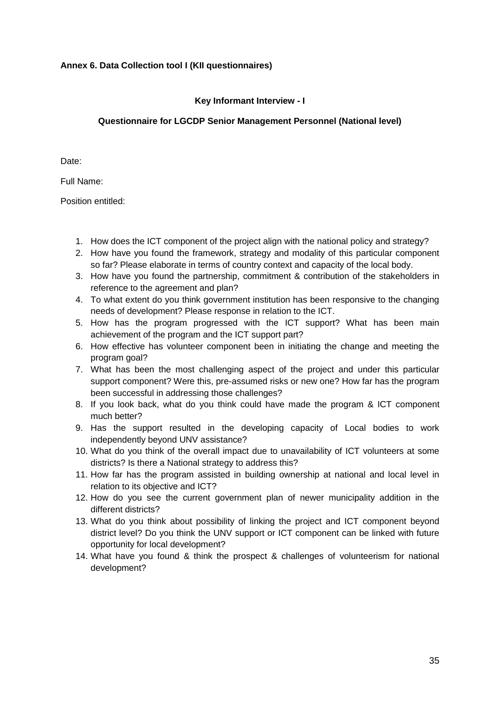### **Annex 6. Data Collection tool I (KII questionnaires)**

### **Key Informant Interview - I**

### **Questionnaire for LGCDP Senior Management Personnel (National level)**

Date:

Full Name:

- 1. How does the ICT component of the project align with the national policy and strategy?
- 2. How have you found the framework, strategy and modality of this particular component so far? Please elaborate in terms of country context and capacity of the local body.
- 3. How have you found the partnership, commitment & contribution of the stakeholders in reference to the agreement and plan?
- 4. To what extent do you think government institution has been responsive to the changing needs of development? Please response in relation to the ICT.
- 5. How has the program progressed with the ICT support? What has been main achievement of the program and the ICT support part?
- 6. How effective has volunteer component been in initiating the change and meeting the program goal?
- 7. What has been the most challenging aspect of the project and under this particular support component? Were this, pre-assumed risks or new one? How far has the program been successful in addressing those challenges?
- 8. If you look back, what do you think could have made the program & ICT component much better?
- 9. Has the support resulted in the developing capacity of Local bodies to work independently beyond UNV assistance?
- 10. What do you think of the overall impact due to unavailability of ICT volunteers at some districts? Is there a National strategy to address this?
- 11. How far has the program assisted in building ownership at national and local level in relation to its objective and ICT?
- 12. How do you see the current government plan of newer municipality addition in the different districts?
- 13. What do you think about possibility of linking the project and ICT component beyond district level? Do you think the UNV support or ICT component can be linked with future opportunity for local development?
- 14. What have you found & think the prospect & challenges of volunteerism for national development?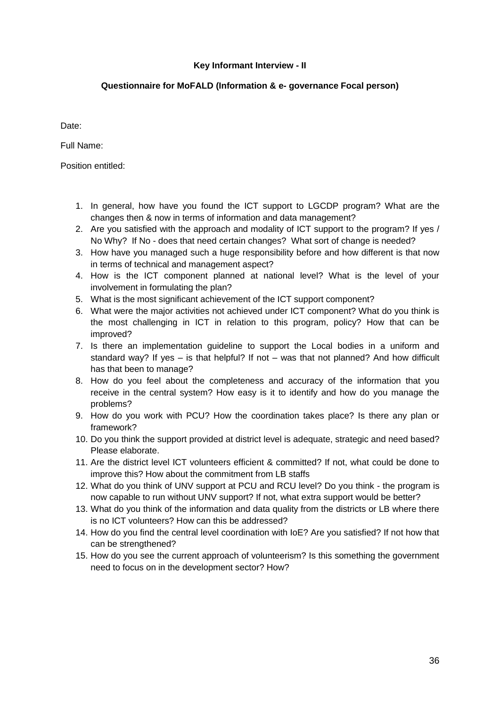#### **Key Informant Interview - II**

### **Questionnaire for MoFALD (Information & e- governance Focal person)**

Date:

Full Name:

- 1. In general, how have you found the ICT support to LGCDP program? What are the changes then & now in terms of information and data management?
- 2. Are you satisfied with the approach and modality of ICT support to the program? If yes / No Why? If No - does that need certain changes? What sort of change is needed?
- 3. How have you managed such a huge responsibility before and how different is that now in terms of technical and management aspect?
- 4. How is the ICT component planned at national level? What is the level of your involvement in formulating the plan?
- 5. What is the most significant achievement of the ICT support component?
- 6. What were the major activities not achieved under ICT component? What do you think is the most challenging in ICT in relation to this program, policy? How that can be improved?
- 7. Is there an implementation guideline to support the Local bodies in a uniform and standard way? If yes – is that helpful? If not – was that not planned? And how difficult has that been to manage?
- 8. How do you feel about the completeness and accuracy of the information that you receive in the central system? How easy is it to identify and how do you manage the problems?
- 9. How do you work with PCU? How the coordination takes place? Is there any plan or framework?
- 10. Do you think the support provided at district level is adequate, strategic and need based? Please elaborate.
- 11. Are the district level ICT volunteers efficient & committed? If not, what could be done to improve this? How about the commitment from LB staffs
- 12. What do you think of UNV support at PCU and RCU level? Do you think the program is now capable to run without UNV support? If not, what extra support would be better?
- 13. What do you think of the information and data quality from the districts or LB where there is no ICT volunteers? How can this be addressed?
- 14. How do you find the central level coordination with IoE? Are you satisfied? If not how that can be strengthened?
- 15. How do you see the current approach of volunteerism? Is this something the government need to focus on in the development sector? How?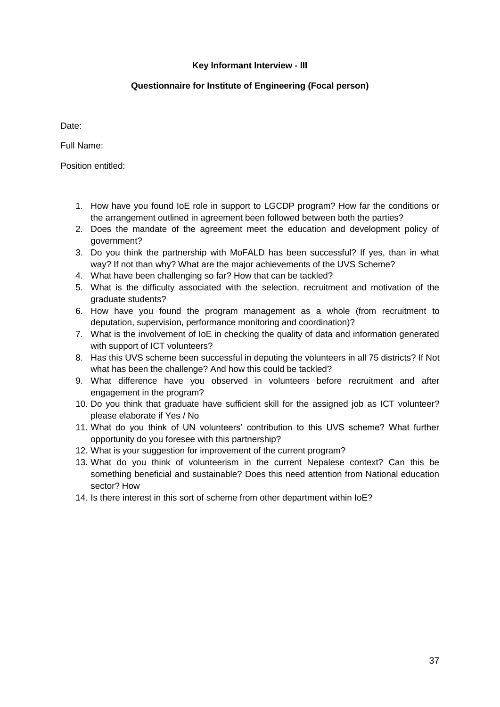#### **Key Informant Interview - III**

### **Questionnaire for Institute of Engineering (Focal person)**

Date:

Full Name:

- 1. How have you found IoE role in support to LGCDP program? How far the conditions or the arrangement outlined in agreement been followed between both the parties?
- 2. Does the mandate of the agreement meet the education and development policy of government?
- 3. Do you think the partnership with MoFALD has been successful? If yes, than in what way? If not than why? What are the major achievements of the UVS Scheme?
- 4. What have been challenging so far? How that can be tackled?
- 5. What is the difficulty associated with the selection, recruitment and motivation of the graduate students?
- 6. How have you found the program management as a whole (from recruitment to deputation, supervision, performance monitoring and coordination)?
- 7. What is the involvement of IoE in checking the quality of data and information generated with support of ICT volunteers?
- 8. Has this UVS scheme been successful in deputing the volunteers in all 75 districts? If Not what has been the challenge? And how this could be tackled?
- 9. What difference have you observed in volunteers before recruitment and after engagement in the program?
- 10. Do you think that graduate have sufficient skill for the assigned job as ICT volunteer? please elaborate if Yes / No
- 11. What do you think of UN volunteers' contribution to this UVS scheme? What further opportunity do you foresee with this partnership?
- 12. What is your suggestion for improvement of the current program?
- 13. What do you think of volunteerism in the current Nepalese context? Can this be something beneficial and sustainable? Does this need attention from National education sector? How
- 14. Is there interest in this sort of scheme from other department within IoE?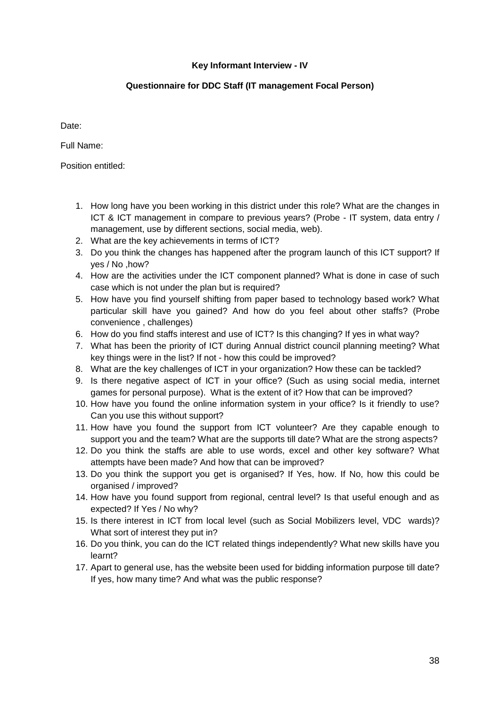### **Key Informant Interview - IV**

### **Questionnaire for DDC Staff (IT management Focal Person)**

Date:

Full Name:

- 1. How long have you been working in this district under this role? What are the changes in ICT & ICT management in compare to previous years? (Probe - IT system, data entry / management, use by different sections, social media, web).
- 2. What are the key achievements in terms of ICT?
- 3. Do you think the changes has happened after the program launch of this ICT support? If yes / No ,how?
- 4. How are the activities under the ICT component planned? What is done in case of such case which is not under the plan but is required?
- 5. How have you find yourself shifting from paper based to technology based work? What particular skill have you gained? And how do you feel about other staffs? (Probe convenience , challenges)
- 6. How do you find staffs interest and use of ICT? Is this changing? If yes in what way?
- 7. What has been the priority of ICT during Annual district council planning meeting? What key things were in the list? If not - how this could be improved?
- 8. What are the key challenges of ICT in your organization? How these can be tackled?
- 9. Is there negative aspect of ICT in your office? (Such as using social media, internet games for personal purpose). What is the extent of it? How that can be improved?
- 10. How have you found the online information system in your office? Is it friendly to use? Can you use this without support?
- 11. How have you found the support from ICT volunteer? Are they capable enough to support you and the team? What are the supports till date? What are the strong aspects?
- 12. Do you think the staffs are able to use words, excel and other key software? What attempts have been made? And how that can be improved?
- 13. Do you think the support you get is organised? If Yes, how. If No, how this could be organised / improved?
- 14. How have you found support from regional, central level? Is that useful enough and as expected? If Yes / No why?
- 15. Is there interest in ICT from local level (such as Social Mobilizers level, VDC wards)? What sort of interest they put in?
- 16. Do you think, you can do the ICT related things independently? What new skills have you learnt?
- 17. Apart to general use, has the website been used for bidding information purpose till date? If yes, how many time? And what was the public response?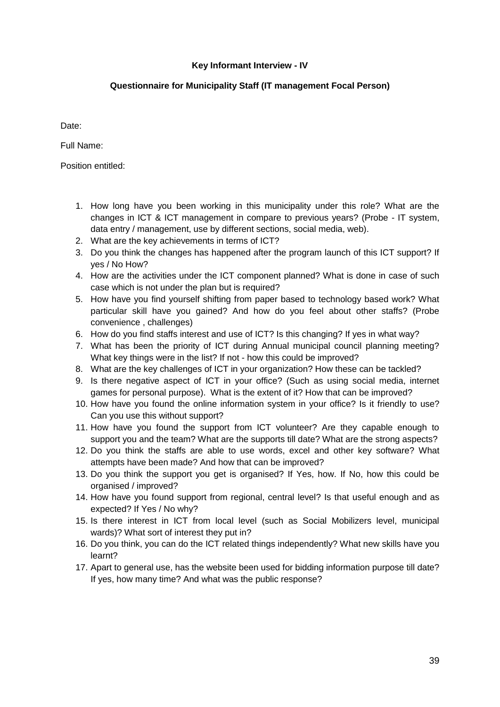### **Key Informant Interview - IV**

### **Questionnaire for Municipality Staff (IT management Focal Person)**

Date:

Full Name:

- 1. How long have you been working in this municipality under this role? What are the changes in ICT & ICT management in compare to previous years? (Probe - IT system, data entry / management, use by different sections, social media, web).
- 2. What are the key achievements in terms of ICT?
- 3. Do you think the changes has happened after the program launch of this ICT support? If yes / No How?
- 4. How are the activities under the ICT component planned? What is done in case of such case which is not under the plan but is required?
- 5. How have you find yourself shifting from paper based to technology based work? What particular skill have you gained? And how do you feel about other staffs? (Probe convenience , challenges)
- 6. How do you find staffs interest and use of ICT? Is this changing? If yes in what way?
- 7. What has been the priority of ICT during Annual municipal council planning meeting? What key things were in the list? If not - how this could be improved?
- 8. What are the key challenges of ICT in your organization? How these can be tackled?
- 9. Is there negative aspect of ICT in your office? (Such as using social media, internet games for personal purpose). What is the extent of it? How that can be improved?
- 10. How have you found the online information system in your office? Is it friendly to use? Can you use this without support?
- 11. How have you found the support from ICT volunteer? Are they capable enough to support you and the team? What are the supports till date? What are the strong aspects?
- 12. Do you think the staffs are able to use words, excel and other key software? What attempts have been made? And how that can be improved?
- 13. Do you think the support you get is organised? If Yes, how. If No, how this could be organised / improved?
- 14. How have you found support from regional, central level? Is that useful enough and as expected? If Yes / No why?
- 15. Is there interest in ICT from local level (such as Social Mobilizers level, municipal wards)? What sort of interest they put in?
- 16. Do you think, you can do the ICT related things independently? What new skills have you learnt?
- 17. Apart to general use, has the website been used for bidding information purpose till date? If yes, how many time? And what was the public response?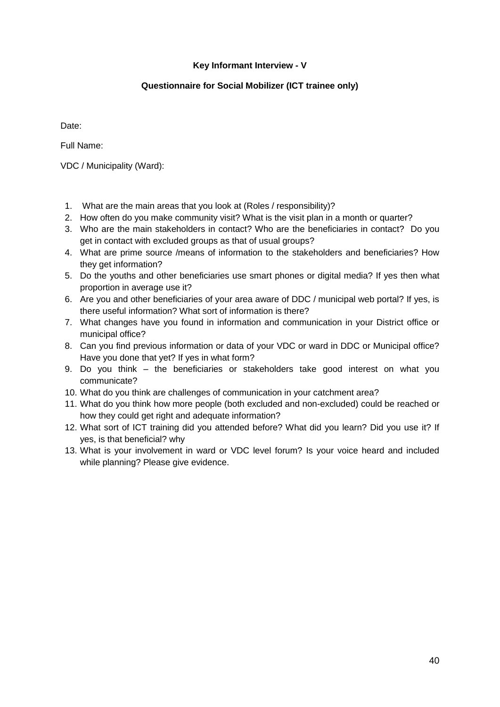### **Key Informant Interview - V**

#### **Questionnaire for Social Mobilizer (ICT trainee only)**

Date:

Full Name:

VDC / Municipality (Ward):

- 1. What are the main areas that you look at (Roles / responsibility)?
- 2. How often do you make community visit? What is the visit plan in a month or quarter?
- 3. Who are the main stakeholders in contact? Who are the beneficiaries in contact? Do you get in contact with excluded groups as that of usual groups?
- 4. What are prime source /means of information to the stakeholders and beneficiaries? How they get information?
- 5. Do the youths and other beneficiaries use smart phones or digital media? If yes then what proportion in average use it?
- 6. Are you and other beneficiaries of your area aware of DDC / municipal web portal? If yes, is there useful information? What sort of information is there?
- 7. What changes have you found in information and communication in your District office or municipal office?
- 8. Can you find previous information or data of your VDC or ward in DDC or Municipal office? Have you done that yet? If yes in what form?
- 9. Do you think the beneficiaries or stakeholders take good interest on what you communicate?
- 10. What do you think are challenges of communication in your catchment area?
- 11. What do you think how more people (both excluded and non-excluded) could be reached or how they could get right and adequate information?
- 12. What sort of ICT training did you attended before? What did you learn? Did you use it? If yes, is that beneficial? why
- 13. What is your involvement in ward or VDC level forum? Is your voice heard and included while planning? Please give evidence.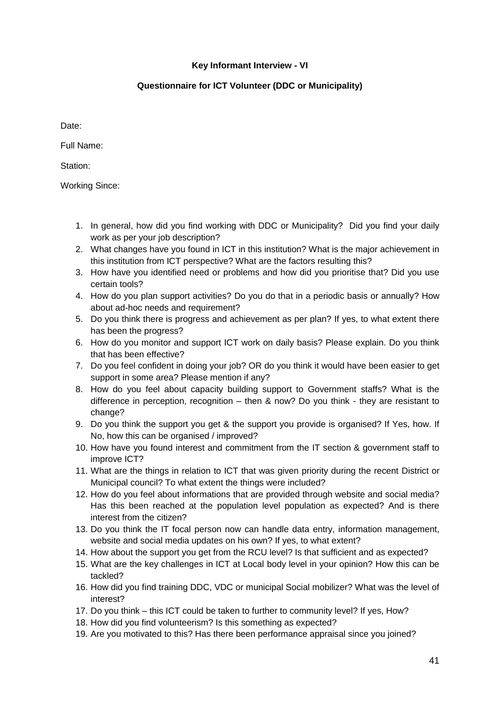### **Key Informant Interview - VI**

#### **Questionnaire for ICT Volunteer (DDC or Municipality)**

Date:

Full Name:

Station:

Working Since:

- 1. In general, how did you find working with DDC or Municipality? Did you find your daily work as per your job description?
- 2. What changes have you found in ICT in this institution? What is the major achievement in this institution from ICT perspective? What are the factors resulting this?
- 3. How have you identified need or problems and how did you prioritise that? Did you use certain tools?
- 4. How do you plan support activities? Do you do that in a periodic basis or annually? How about ad-hoc needs and requirement?
- 5. Do you think there is progress and achievement as per plan? If yes, to what extent there has been the progress?
- 6. How do you monitor and support ICT work on daily basis? Please explain. Do you think that has been effective?
- 7. Do you feel confident in doing your job? OR do you think it would have been easier to get support in some area? Please mention if any?
- 8. How do you feel about capacity building support to Government staffs? What is the difference in perception, recognition – then & now? Do you think - they are resistant to change?
- 9. Do you think the support you get & the support you provide is organised? If Yes, how. If No, how this can be organised / improved?
- 10. How have you found interest and commitment from the IT section & government staff to improve ICT?
- 11. What are the things in relation to ICT that was given priority during the recent District or Municipal council? To what extent the things were included?
- 12. How do you feel about informations that are provided through website and social media? Has this been reached at the population level population as expected? And is there interest from the citizen?
- 13. Do you think the IT focal person now can handle data entry, information management, website and social media updates on his own? If yes, to what extent?
- 14. How about the support you get from the RCU level? Is that sufficient and as expected?
- 15. What are the key challenges in ICT at Local body level in your opinion? How this can be tackled?
- 16. How did you find training DDC, VDC or municipal Social mobilizer? What was the level of interest?
- 17. Do you think this ICT could be taken to further to community level? If yes, How?
- 18. How did you find volunteerism? Is this something as expected?
- 19. Are you motivated to this? Has there been performance appraisal since you joined?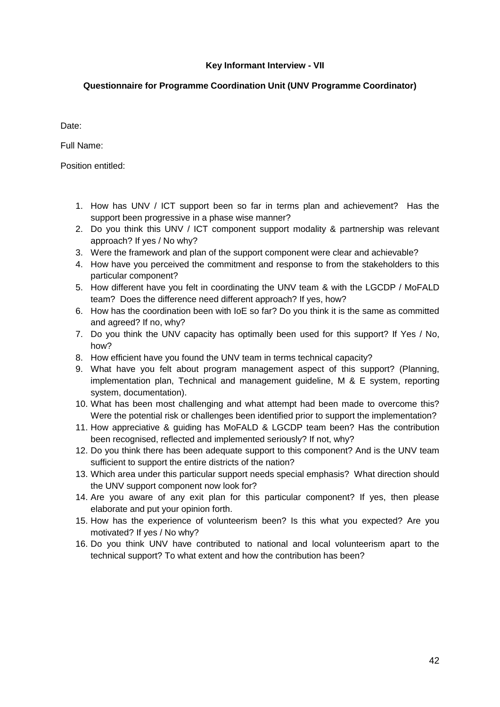### **Key Informant Interview - VII**

### **Questionnaire for Programme Coordination Unit (UNV Programme Coordinator)**

Date:

Full Name:

- 1. How has UNV / ICT support been so far in terms plan and achievement? Has the support been progressive in a phase wise manner?
- 2. Do you think this UNV / ICT component support modality & partnership was relevant approach? If yes / No why?
- 3. Were the framework and plan of the support component were clear and achievable?
- 4. How have you perceived the commitment and response to from the stakeholders to this particular component?
- 5. How different have you felt in coordinating the UNV team & with the LGCDP / MoFALD team? Does the difference need different approach? If yes, how?
- 6. How has the coordination been with IoE so far? Do you think it is the same as committed and agreed? If no, why?
- 7. Do you think the UNV capacity has optimally been used for this support? If Yes / No, how?
- 8. How efficient have you found the UNV team in terms technical capacity?
- 9. What have you felt about program management aspect of this support? (Planning, implementation plan, Technical and management guideline, M & E system, reporting system, documentation).
- 10. What has been most challenging and what attempt had been made to overcome this? Were the potential risk or challenges been identified prior to support the implementation?
- 11. How appreciative & guiding has MoFALD & LGCDP team been? Has the contribution been recognised, reflected and implemented seriously? If not, why?
- 12. Do you think there has been adequate support to this component? And is the UNV team sufficient to support the entire districts of the nation?
- 13. Which area under this particular support needs special emphasis? What direction should the UNV support component now look for?
- 14. Are you aware of any exit plan for this particular component? If yes, then please elaborate and put your opinion forth.
- 15. How has the experience of volunteerism been? Is this what you expected? Are you motivated? If yes / No why?
- 16. Do you think UNV have contributed to national and local volunteerism apart to the technical support? To what extent and how the contribution has been?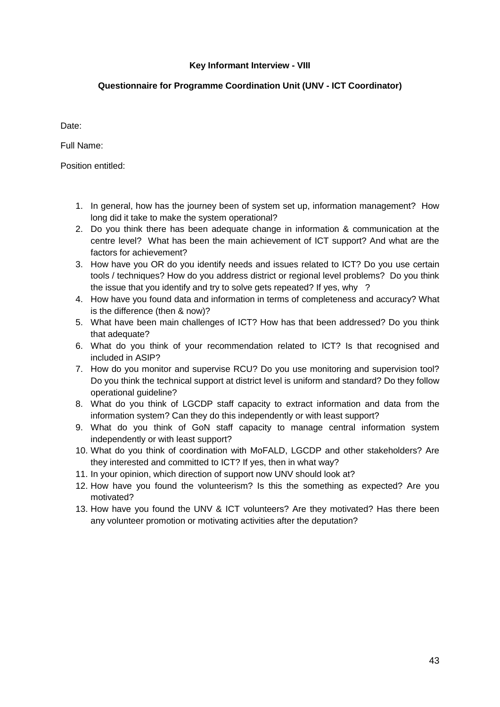#### **Key Informant Interview - VIII**

### **Questionnaire for Programme Coordination Unit (UNV - ICT Coordinator)**

Date:

Full Name:

- 1. In general, how has the journey been of system set up, information management? How long did it take to make the system operational?
- 2. Do you think there has been adequate change in information & communication at the centre level? What has been the main achievement of ICT support? And what are the factors for achievement?
- 3. How have you OR do you identify needs and issues related to ICT? Do you use certain tools / techniques? How do you address district or regional level problems? Do you think the issue that you identify and try to solve gets repeated? If yes, why ?
- 4. How have you found data and information in terms of completeness and accuracy? What is the difference (then & now)?
- 5. What have been main challenges of ICT? How has that been addressed? Do you think that adequate?
- 6. What do you think of your recommendation related to ICT? Is that recognised and included in ASIP?
- 7. How do you monitor and supervise RCU? Do you use monitoring and supervision tool? Do you think the technical support at district level is uniform and standard? Do they follow operational guideline?
- 8. What do you think of LGCDP staff capacity to extract information and data from the information system? Can they do this independently or with least support?
- 9. What do you think of GoN staff capacity to manage central information system independently or with least support?
- 10. What do you think of coordination with MoFALD, LGCDP and other stakeholders? Are they interested and committed to ICT? If yes, then in what way?
- 11. In your opinion, which direction of support now UNV should look at?
- 12. How have you found the volunteerism? Is this the something as expected? Are you motivated?
- 13. How have you found the UNV & ICT volunteers? Are they motivated? Has there been any volunteer promotion or motivating activities after the deputation?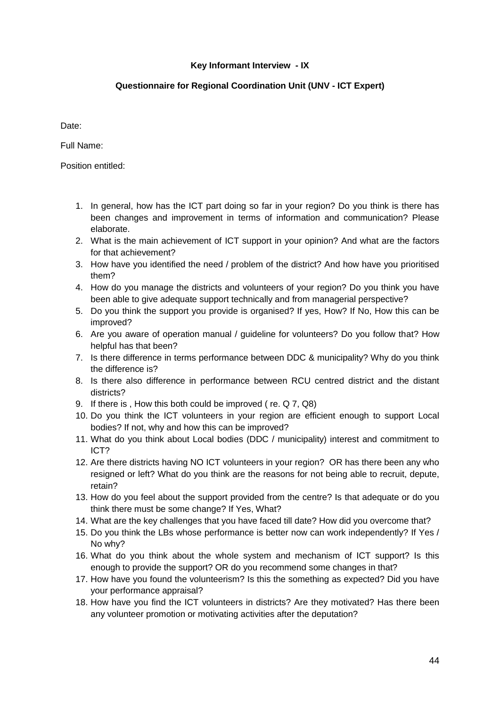## **Key Informant Interview - IX**

### **Questionnaire for Regional Coordination Unit (UNV - ICT Expert)**

Date:

Full Name:

- 1. In general, how has the ICT part doing so far in your region? Do you think is there has been changes and improvement in terms of information and communication? Please elaborate.
- 2. What is the main achievement of ICT support in your opinion? And what are the factors for that achievement?
- 3. How have you identified the need / problem of the district? And how have you prioritised them?
- 4. How do you manage the districts and volunteers of your region? Do you think you have been able to give adequate support technically and from managerial perspective?
- 5. Do you think the support you provide is organised? If yes, How? If No, How this can be improved?
- 6. Are you aware of operation manual / guideline for volunteers? Do you follow that? How helpful has that been?
- 7. Is there difference in terms performance between DDC & municipality? Why do you think the difference is?
- 8. Is there also difference in performance between RCU centred district and the distant districts?
- 9. If there is , How this both could be improved ( re. Q 7, Q8)
- 10. Do you think the ICT volunteers in your region are efficient enough to support Local bodies? If not, why and how this can be improved?
- 11. What do you think about Local bodies (DDC / municipality) interest and commitment to ICT?
- 12. Are there districts having NO ICT volunteers in your region? OR has there been any who resigned or left? What do you think are the reasons for not being able to recruit, depute, retain?
- 13. How do you feel about the support provided from the centre? Is that adequate or do you think there must be some change? If Yes, What?
- 14. What are the key challenges that you have faced till date? How did you overcome that?
- 15. Do you think the LBs whose performance is better now can work independently? If Yes / No why?
- 16. What do you think about the whole system and mechanism of ICT support? Is this enough to provide the support? OR do you recommend some changes in that?
- 17. How have you found the volunteerism? Is this the something as expected? Did you have your performance appraisal?
- 18. How have you find the ICT volunteers in districts? Are they motivated? Has there been any volunteer promotion or motivating activities after the deputation?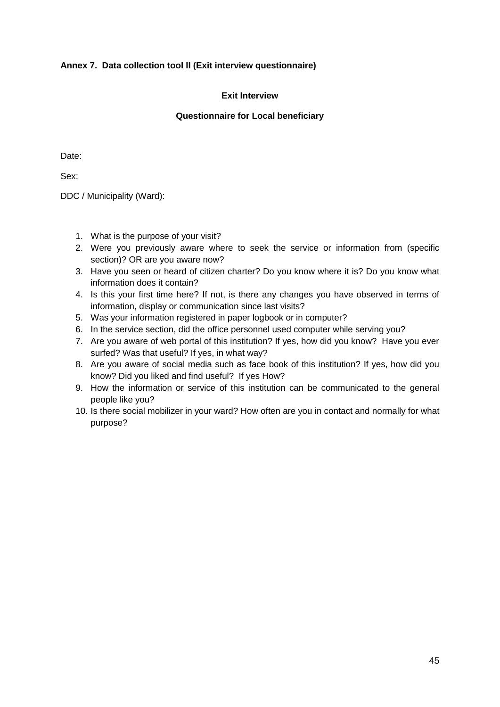### **Annex 7. Data collection tool II (Exit interview questionnaire)**

#### **Exit Interview**

#### **Questionnaire for Local beneficiary**

Date:

Sex:

DDC / Municipality (Ward):

- 1. What is the purpose of your visit?
- 2. Were you previously aware where to seek the service or information from (specific section)? OR are you aware now?
- 3. Have you seen or heard of citizen charter? Do you know where it is? Do you know what information does it contain?
- 4. Is this your first time here? If not, is there any changes you have observed in terms of information, display or communication since last visits?
- 5. Was your information registered in paper logbook or in computer?
- 6. In the service section, did the office personnel used computer while serving you?
- 7. Are you aware of web portal of this institution? If yes, how did you know? Have you ever surfed? Was that useful? If yes, in what way?
- 8. Are you aware of social media such as face book of this institution? If yes, how did you know? Did you liked and find useful? If yes How?
- 9. How the information or service of this institution can be communicated to the general people like you?
- 10. Is there social mobilizer in your ward? How often are you in contact and normally for what purpose?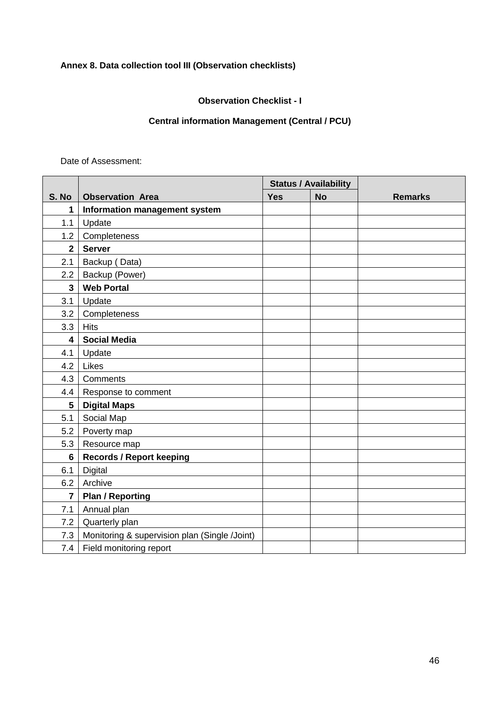## **Annex 8. Data collection tool III (Observation checklists)**

**Observation Checklist - I**

## **Central information Management (Central / PCU)**

Date of Assessment:

|                |                                               |            | <b>Status / Availability</b> |                |
|----------------|-----------------------------------------------|------------|------------------------------|----------------|
| S. No          | <b>Observation Area</b>                       | <b>Yes</b> | <b>No</b>                    | <b>Remarks</b> |
| 1              | Information management system                 |            |                              |                |
| 1.1            | Update                                        |            |                              |                |
| 1.2            | Completeness                                  |            |                              |                |
| $\overline{2}$ | <b>Server</b>                                 |            |                              |                |
| 2.1            | Backup (Data)                                 |            |                              |                |
| 2.2            | Backup (Power)                                |            |                              |                |
| $\overline{3}$ | <b>Web Portal</b>                             |            |                              |                |
| 3.1            | Update                                        |            |                              |                |
| 3.2            | Completeness                                  |            |                              |                |
| 3.3            | <b>Hits</b>                                   |            |                              |                |
| 4              | <b>Social Media</b>                           |            |                              |                |
| 4.1            | Update                                        |            |                              |                |
| 4.2            | Likes                                         |            |                              |                |
| 4.3            | Comments                                      |            |                              |                |
| 4.4            | Response to comment                           |            |                              |                |
| 5              | <b>Digital Maps</b>                           |            |                              |                |
| 5.1            | Social Map                                    |            |                              |                |
| 5.2            | Poverty map                                   |            |                              |                |
| 5.3            | Resource map                                  |            |                              |                |
| $6\phantom{a}$ | <b>Records / Report keeping</b>               |            |                              |                |
| 6.1            | <b>Digital</b>                                |            |                              |                |
| 6.2            | Archive                                       |            |                              |                |
| $\overline{7}$ | <b>Plan / Reporting</b>                       |            |                              |                |
| 7.1            | Annual plan                                   |            |                              |                |
| 7.2            | Quarterly plan                                |            |                              |                |
| 7.3            | Monitoring & supervision plan (Single /Joint) |            |                              |                |
| 7.4            | Field monitoring report                       |            |                              |                |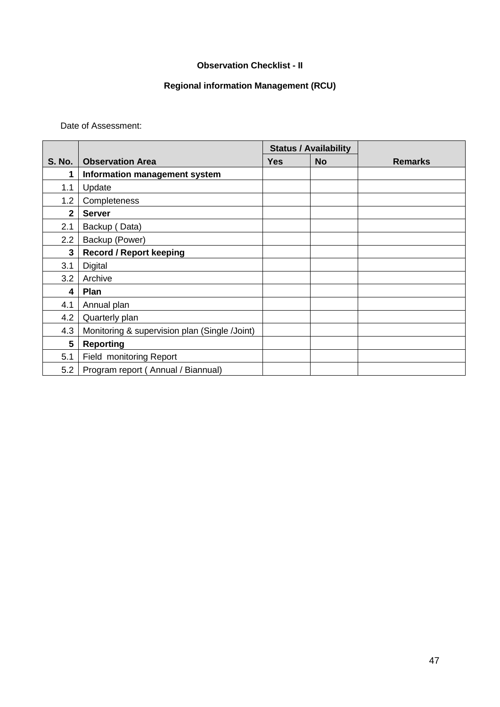#### **Observation Checklist - II**

## **Regional information Management (RCU)**

Date of Assessment:

|                |                                               |            | <b>Status / Availability</b> |                |
|----------------|-----------------------------------------------|------------|------------------------------|----------------|
| <b>S. No.</b>  | <b>Observation Area</b>                       | <b>Yes</b> | <b>No</b>                    | <b>Remarks</b> |
| 1              | Information management system                 |            |                              |                |
| 1.1            | Update                                        |            |                              |                |
| 1.2            | Completeness                                  |            |                              |                |
| $\overline{2}$ | <b>Server</b>                                 |            |                              |                |
| 2.1            | Backup (Data)                                 |            |                              |                |
| 2.2            | Backup (Power)                                |            |                              |                |
| 3              | <b>Record / Report keeping</b>                |            |                              |                |
| 3.1            | Digital                                       |            |                              |                |
| 3.2            | Archive                                       |            |                              |                |
| 4              | Plan                                          |            |                              |                |
| 4.1            | Annual plan                                   |            |                              |                |
| 4.2            | Quarterly plan                                |            |                              |                |
| 4.3            | Monitoring & supervision plan (Single /Joint) |            |                              |                |
| 5              | <b>Reporting</b>                              |            |                              |                |
| 5.1            | Field monitoring Report                       |            |                              |                |
| 5.2            | Program report (Annual / Biannual)            |            |                              |                |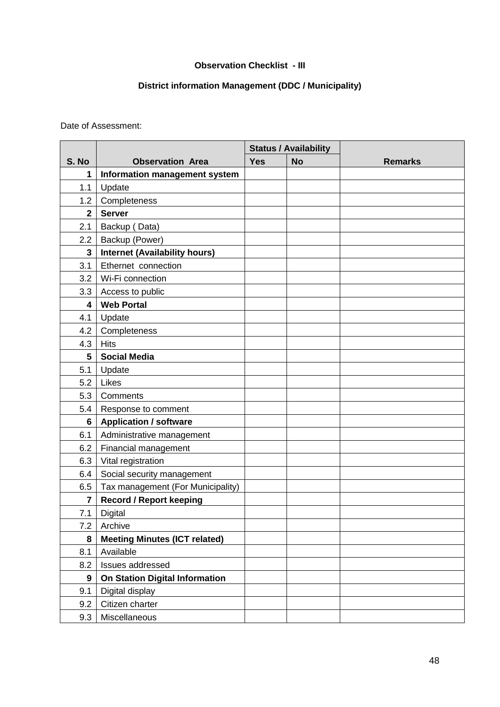### **Observation Checklist - III**

## **District information Management (DDC / Municipality)**

Date of Assessment:

|             |                                       |            | <b>Status / Availability</b> |                |
|-------------|---------------------------------------|------------|------------------------------|----------------|
| S. No       | <b>Observation Area</b>               | <b>Yes</b> | <b>No</b>                    | <b>Remarks</b> |
| 1           | Information management system         |            |                              |                |
| 1.1         | Update                                |            |                              |                |
| 1.2         | Completeness                          |            |                              |                |
| $\mathbf 2$ | <b>Server</b>                         |            |                              |                |
| 2.1         | Backup (Data)                         |            |                              |                |
| 2.2         | Backup (Power)                        |            |                              |                |
| 3           | <b>Internet (Availability hours)</b>  |            |                              |                |
| 3.1         | Ethernet connection                   |            |                              |                |
| 3.2         | Wi-Fi connection                      |            |                              |                |
| 3.3         | Access to public                      |            |                              |                |
| 4           | <b>Web Portal</b>                     |            |                              |                |
| 4.1         | Update                                |            |                              |                |
| 4.2         | Completeness                          |            |                              |                |
| 4.3         | <b>Hits</b>                           |            |                              |                |
| 5           | <b>Social Media</b>                   |            |                              |                |
| 5.1         | Update                                |            |                              |                |
| 5.2         | Likes                                 |            |                              |                |
| 5.3         | Comments                              |            |                              |                |
| 5.4         | Response to comment                   |            |                              |                |
| 6           | <b>Application / software</b>         |            |                              |                |
| 6.1         | Administrative management             |            |                              |                |
| 6.2         | Financial management                  |            |                              |                |
| 6.3         | Vital registration                    |            |                              |                |
| 6.4         | Social security management            |            |                              |                |
| 6.5         | Tax management (For Municipality)     |            |                              |                |
| 7           | <b>Record / Report keeping</b>        |            |                              |                |
| 7.1         | <b>Digital</b>                        |            |                              |                |
| 7.2         | Archive                               |            |                              |                |
| 8           | <b>Meeting Minutes (ICT related)</b>  |            |                              |                |
| 8.1         | Available                             |            |                              |                |
| 8.2         | Issues addressed                      |            |                              |                |
| 9           | <b>On Station Digital Information</b> |            |                              |                |
| 9.1         | Digital display                       |            |                              |                |
| 9.2         | Citizen charter                       |            |                              |                |
| 9.3         | Miscellaneous                         |            |                              |                |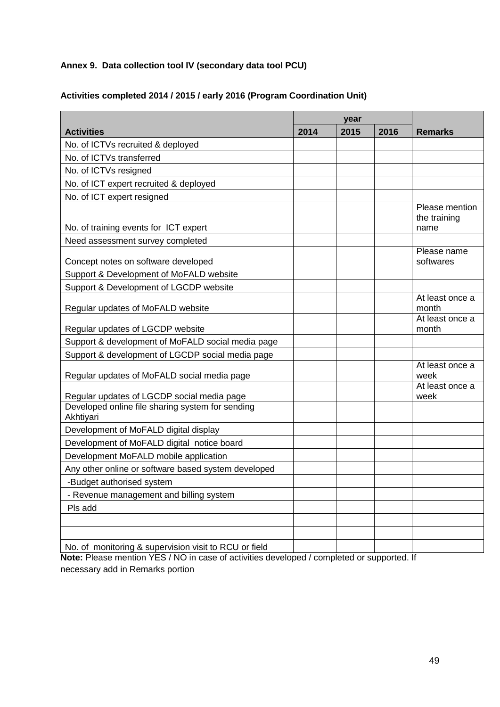## **Annex 9. Data collection tool IV (secondary data tool PCU)**

|                                                               | year |      |      |                                        |
|---------------------------------------------------------------|------|------|------|----------------------------------------|
| <b>Activities</b>                                             | 2014 | 2015 | 2016 | <b>Remarks</b>                         |
| No. of ICTVs recruited & deployed                             |      |      |      |                                        |
| No. of ICTVs transferred                                      |      |      |      |                                        |
| No. of ICTVs resigned                                         |      |      |      |                                        |
| No. of ICT expert recruited & deployed                        |      |      |      |                                        |
| No. of ICT expert resigned                                    |      |      |      |                                        |
| No. of training events for ICT expert                         |      |      |      | Please mention<br>the training<br>name |
| Need assessment survey completed                              |      |      |      |                                        |
| Concept notes on software developed                           |      |      |      | Please name<br>softwares               |
| Support & Development of MoFALD website                       |      |      |      |                                        |
| Support & Development of LGCDP website                        |      |      |      |                                        |
| Regular updates of MoFALD website                             |      |      |      | At least once a<br>month               |
| Regular updates of LGCDP website                              |      |      |      | At least once a<br>month               |
| Support & development of MoFALD social media page             |      |      |      |                                        |
| Support & development of LGCDP social media page              |      |      |      |                                        |
| Regular updates of MoFALD social media page                   |      |      |      | At least once a<br>week                |
| Regular updates of LGCDP social media page                    |      |      |      | At least once a<br>week                |
| Developed online file sharing system for sending<br>Akhtiyari |      |      |      |                                        |
| Development of MoFALD digital display                         |      |      |      |                                        |
| Development of MoFALD digital notice board                    |      |      |      |                                        |
| Development MoFALD mobile application                         |      |      |      |                                        |
| Any other online or software based system developed           |      |      |      |                                        |
| -Budget authorised system                                     |      |      |      |                                        |
| - Revenue management and billing system                       |      |      |      |                                        |
| Pls add                                                       |      |      |      |                                        |
|                                                               |      |      |      |                                        |
|                                                               |      |      |      |                                        |
| No. of monitoring & supervision visit to RCU or field         |      |      |      |                                        |

### **Activities completed 2014 / 2015 / early 2016 (Program Coordination Unit)**

**Note:** Please mention YES / NO in case of activities developed / completed or supported. If necessary add in Remarks portion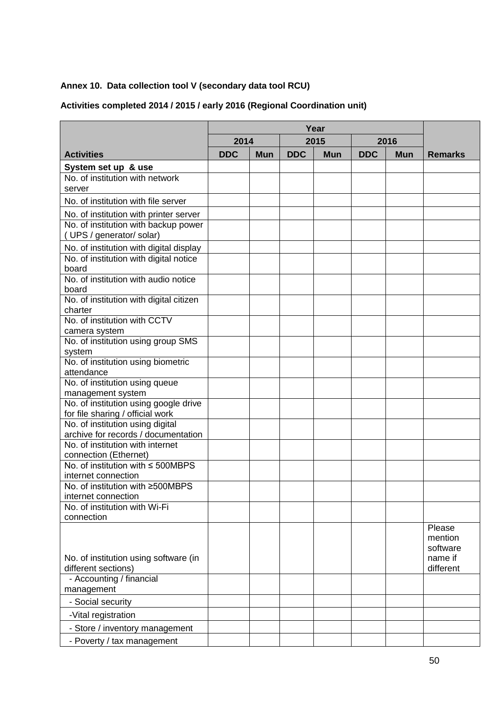## **Annex 10. Data collection tool V (secondary data tool RCU)**

## **Activities completed 2014 / 2015 / early 2016 (Regional Coordination unit)**

|                                                                           | 2014       |            |            | 2015       |            | 2016       |                                                       |
|---------------------------------------------------------------------------|------------|------------|------------|------------|------------|------------|-------------------------------------------------------|
| <b>Activities</b>                                                         | <b>DDC</b> | <b>Mun</b> | <b>DDC</b> | <b>Mun</b> | <b>DDC</b> | <b>Mun</b> | <b>Remarks</b>                                        |
| System set up & use                                                       |            |            |            |            |            |            |                                                       |
| No. of institution with network<br>server                                 |            |            |            |            |            |            |                                                       |
| No. of institution with file server                                       |            |            |            |            |            |            |                                                       |
| No. of institution with printer server                                    |            |            |            |            |            |            |                                                       |
| No. of institution with backup power<br>(UPS / generator/ solar)          |            |            |            |            |            |            |                                                       |
| No. of institution with digital display                                   |            |            |            |            |            |            |                                                       |
| No. of institution with digital notice<br>board                           |            |            |            |            |            |            |                                                       |
| No. of institution with audio notice<br>board                             |            |            |            |            |            |            |                                                       |
| No. of institution with digital citizen<br>charter                        |            |            |            |            |            |            |                                                       |
| No. of institution with CCTV<br>camera system                             |            |            |            |            |            |            |                                                       |
| No. of institution using group SMS<br>system                              |            |            |            |            |            |            |                                                       |
| No. of institution using biometric<br>attendance                          |            |            |            |            |            |            |                                                       |
| No. of institution using queue<br>management system                       |            |            |            |            |            |            |                                                       |
| No. of institution using google drive<br>for file sharing / official work |            |            |            |            |            |            |                                                       |
| No. of institution using digital<br>archive for records / documentation   |            |            |            |            |            |            |                                                       |
| No. of institution with internet<br>connection (Ethernet)                 |            |            |            |            |            |            |                                                       |
| No. of institution with ≤ 500MBPS<br>internet connection                  |            |            |            |            |            |            |                                                       |
| No. of institution with ≥500MBPS<br>internet connection                   |            |            |            |            |            |            |                                                       |
| No. of institution with Wi-Fi<br>connection                               |            |            |            |            |            |            |                                                       |
| No. of institution using software (in<br>different sections)              |            |            |            |            |            |            | Please<br>mention<br>software<br>name if<br>different |
| - Accounting / financial<br>management                                    |            |            |            |            |            |            |                                                       |
| - Social security                                                         |            |            |            |            |            |            |                                                       |
| -Vital registration                                                       |            |            |            |            |            |            |                                                       |
| - Store / inventory management                                            |            |            |            |            |            |            |                                                       |
| - Poverty / tax management                                                |            |            |            |            |            |            |                                                       |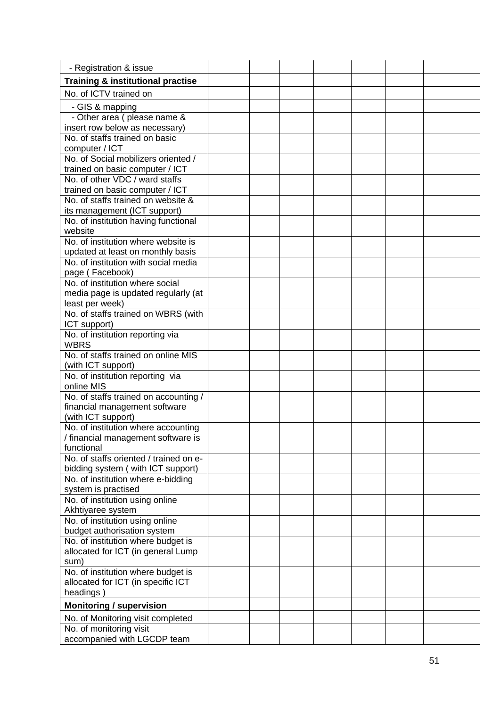| - Registration & issue                                                  |  |  |  |  |
|-------------------------------------------------------------------------|--|--|--|--|
| <b>Training &amp; institutional practise</b>                            |  |  |  |  |
| No. of ICTV trained on                                                  |  |  |  |  |
| - GIS & mapping                                                         |  |  |  |  |
| - Other area (please name &                                             |  |  |  |  |
| insert row below as necessary)                                          |  |  |  |  |
| No. of staffs trained on basic                                          |  |  |  |  |
| computer / ICT                                                          |  |  |  |  |
| No. of Social mobilizers oriented /                                     |  |  |  |  |
| trained on basic computer / ICT                                         |  |  |  |  |
| No. of other VDC / ward staffs                                          |  |  |  |  |
| trained on basic computer / ICT<br>No. of staffs trained on website &   |  |  |  |  |
| its management (ICT support)                                            |  |  |  |  |
| No. of institution having functional                                    |  |  |  |  |
| website                                                                 |  |  |  |  |
| No. of institution where website is                                     |  |  |  |  |
| updated at least on monthly basis                                       |  |  |  |  |
| No. of institution with social media                                    |  |  |  |  |
| page (Facebook)                                                         |  |  |  |  |
| No. of institution where social                                         |  |  |  |  |
| media page is updated regularly (at                                     |  |  |  |  |
| least per week)                                                         |  |  |  |  |
| No. of staffs trained on WBRS (with                                     |  |  |  |  |
| ICT support)                                                            |  |  |  |  |
| No. of institution reporting via<br><b>WBRS</b>                         |  |  |  |  |
| No. of staffs trained on online MIS                                     |  |  |  |  |
| (with ICT support)                                                      |  |  |  |  |
| No. of institution reporting via                                        |  |  |  |  |
| online MIS                                                              |  |  |  |  |
| No. of staffs trained on accounting /                                   |  |  |  |  |
| financial management software                                           |  |  |  |  |
| (with ICT support)                                                      |  |  |  |  |
| No. of institution where accounting                                     |  |  |  |  |
| / financial management software is                                      |  |  |  |  |
| functional                                                              |  |  |  |  |
| No. of staffs oriented / trained on e-                                  |  |  |  |  |
| bidding system (with ICT support)<br>No. of institution where e-bidding |  |  |  |  |
| system is practised                                                     |  |  |  |  |
| No. of institution using online                                         |  |  |  |  |
| Akhtiyaree system                                                       |  |  |  |  |
| No. of institution using online                                         |  |  |  |  |
| budget authorisation system                                             |  |  |  |  |
| No. of institution where budget is                                      |  |  |  |  |
| allocated for ICT (in general Lump                                      |  |  |  |  |
| sum)                                                                    |  |  |  |  |
| No. of institution where budget is                                      |  |  |  |  |
| allocated for ICT (in specific ICT                                      |  |  |  |  |
| headings)                                                               |  |  |  |  |
| <b>Monitoring / supervision</b>                                         |  |  |  |  |
| No. of Monitoring visit completed                                       |  |  |  |  |
| No. of monitoring visit                                                 |  |  |  |  |
| accompanied with LGCDP team                                             |  |  |  |  |